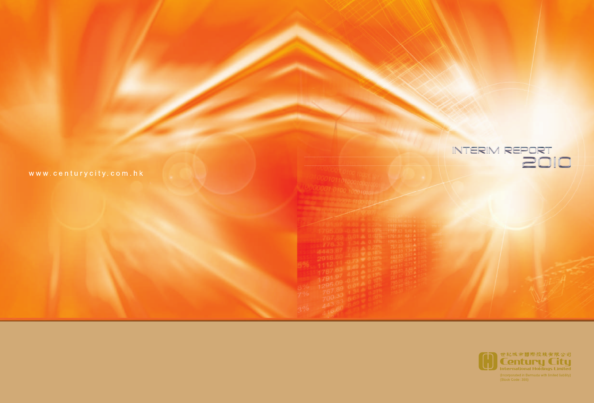| INTERIM REPORT |  |
|----------------|--|
|                |  |

| 1011010001                                                                                                                          |  |
|-------------------------------------------------------------------------------------------------------------------------------------|--|
|                                                                                                                                     |  |
|                                                                                                                                     |  |
|                                                                                                                                     |  |
|                                                                                                                                     |  |
| 15.09 -0.54 V.08<br>the property of the contract of the contract of the contract of the contract of the contract of the contract of |  |

778.38<br>
2916.60<br>
112 63<br>
1787.60<br>
1791.97<br>
760.38<br>
760.38<br>
416.6

| 世紀城市國際控股有限公司<br><b>Century City</b><br><b>International Holdings Limited</b> |
|------------------------------------------------------------------------------|
| (Incorporated in Bermuda with limited liability)<br>(Stock Code: 355)        |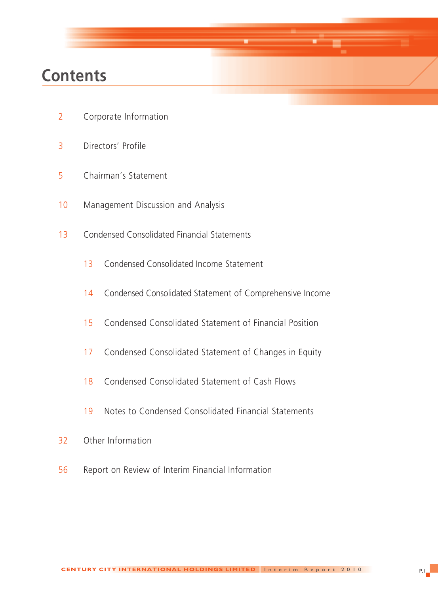## **Contents**

- Corporate Information
- Directors' Profile
- Chairman's Statement
- Management Discussion and Analysis
- Condensed Consolidated Financial Statements
	- Condensed Consolidated Income Statement
	- Condensed Consolidated Statement of Comprehensive Income
	- Condensed Consolidated Statement of Financial Position
	- Condensed Consolidated Statement of Changes in Equity
	- Condensed Consolidated Statement of Cash Flows
	- Notes to Condensed Consolidated Financial Statements
- Other Information
- Report on Review of Interim Financial Information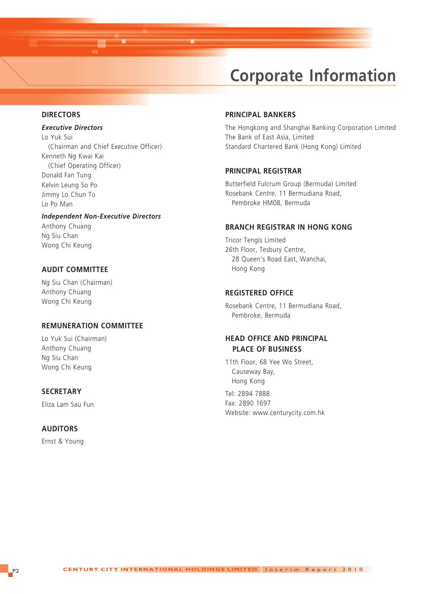## **Corporate Information**

#### **DIRECTORS**

#### *Executive Directors*

Lo Yuk Sui (Chairman and Chief Executive Officer) Kenneth Ng Kwai Kai (Chief Operating Officer) Donald Fan Tung Kelvin Leung So Po Jimmy Lo Chun To Lo Po Man

#### *Independent Non-Executive Directors*

Anthony Chuang Ng Siu Chan Wong Chi Keung

#### **AUDIT COMMITTEE**

Ng Siu Chan (Chairman) Anthony Chuang Wong Chi Keung

#### **REMUNERATION COMMITTEE**

Lo Yuk Sui (Chairman) Anthony Chuang Ng Siu Chan Wong Chi Keung

#### **SECRETARY**

Eliza Lam Sau Fun

#### **AUDITORS**

Ernst & Young

#### **PRINCIPAL BANKERS**

The Hongkong and Shanghai Banking Corporation Limited The Bank of East Asia, Limited Standard Chartered Bank (Hong Kong) Limited

#### **PRINCIPAL REGISTRAR**

Butterfield Fulcrum Group (Bermuda) Limited Rosebank Centre, 11 Bermudiana Road, Pembroke HM08, Bermuda

#### **BRANCH REGISTRAR IN HONG KONG**

Tricor Tengis Limited 26th Floor, Tesbury Centre, 28 Queen's Road East, Wanchai, Hong Kong

#### **REGISTERED OFFICE**

Rosebank Centre, 11 Bermudiana Road, Pembroke, Bermuda

#### **HEAD OFFICE AND PRINCIPAL PLACE OF BUSINESS**

11th Floor, 68 Yee Wo Street, Causeway Bay, Hong Kong

Tel: 2894 7888 Fax: 2890 1697 Website: www.centurycity.com.hk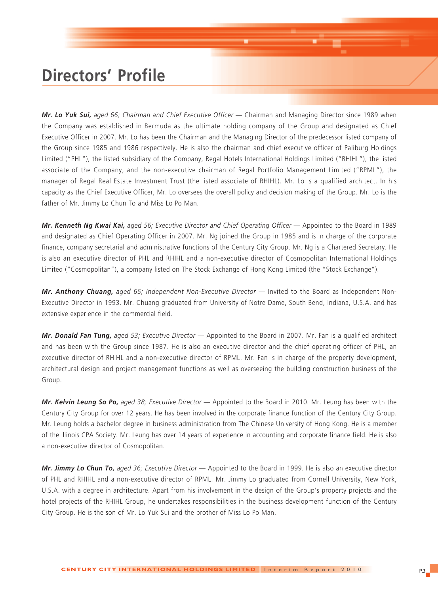## **Directors' Profile**

*Mr. Lo Yuk Sui, aged 66; Chairman and Chief Executive Officer* — Chairman and Managing Director since 1989 when the Company was established in Bermuda as the ultimate holding company of the Group and designated as Chief Executive Officer in 2007. Mr. Lo has been the Chairman and the Managing Director of the predecessor listed company of the Group since 1985 and 1986 respectively. He is also the chairman and chief executive officer of Paliburg Holdings Limited ("PHL"), the listed subsidiary of the Company, Regal Hotels International Holdings Limited ("RHIHL"), the listed associate of the Company, and the non-executive chairman of Regal Portfolio Management Limited ("RPML"), the manager of Regal Real Estate Investment Trust (the listed associate of RHIHL). Mr. Lo is a qualified architect. In his capacity as the Chief Executive Officer, Mr. Lo oversees the overall policy and decision making of the Group. Mr. Lo is the father of Mr. Jimmy Lo Chun To and Miss Lo Po Man.

*Mr. Kenneth Ng Kwai Kai, aged 56; Executive Director and Chief Operating Officer — Appointed to the Board in 1989* and designated as Chief Operating Officer in 2007. Mr. Ng joined the Group in 1985 and is in charge of the corporate finance, company secretarial and administrative functions of the Century City Group. Mr. Ng is a Chartered Secretary. He is also an executive director of PHL and RHIHL and a non-executive director of Cosmopolitan International Holdings Limited ("Cosmopolitan"), a company listed on The Stock Exchange of Hong Kong Limited (the "Stock Exchange").

*Mr. Anthony Chuang, aged 65; Independent Non-Executive Director* — Invited to the Board as Independent Non-Executive Director in 1993. Mr. Chuang graduated from University of Notre Dame, South Bend, Indiana, U.S.A. and has extensive experience in the commercial field.

*Mr. Donald Fan Tung, aged 53; Executive Director* — Appointed to the Board in 2007. Mr. Fan is a qualified architect and has been with the Group since 1987. He is also an executive director and the chief operating officer of PHL, an executive director of RHIHL and a non-executive director of RPML. Mr. Fan is in charge of the property development, architectural design and project management functions as well as overseeing the building construction business of the Group.

*Mr. Kelvin Leung So Po, aged 38; Executive Director* — Appointed to the Board in 2010. Mr. Leung has been with the Century City Group for over 12 years. He has been involved in the corporate finance function of the Century City Group. Mr. Leung holds a bachelor degree in business administration from The Chinese University of Hong Kong. He is a member of the Illinois CPA Society. Mr. Leung has over 14 years of experience in accounting and corporate finance field. He is also a non-executive director of Cosmopolitan.

*Mr. Jimmy Lo Chun To, aged 36; Executive Director* — Appointed to the Board in 1999. He is also an executive director of PHL and RHIHL and a non-executive director of RPML. Mr. Jimmy Lo graduated from Cornell University, New York, U.S.A. with a degree in architecture. Apart from his involvement in the design of the Group's property projects and the hotel projects of the RHIHL Group, he undertakes responsibilities in the business development function of the Century City Group. He is the son of Mr. Lo Yuk Sui and the brother of Miss Lo Po Man.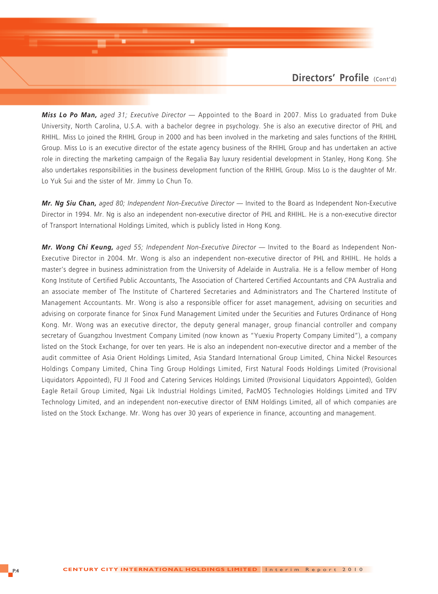*Miss Lo Po Man, aged 31; Executive Director* — Appointed to the Board in 2007. Miss Lo graduated from Duke University, North Carolina, U.S.A. with a bachelor degree in psychology. She is also an executive director of PHL and RHIHL. Miss Lo joined the RHIHL Group in 2000 and has been involved in the marketing and sales functions of the RHIHL Group. Miss Lo is an executive director of the estate agency business of the RHIHL Group and has undertaken an active role in directing the marketing campaign of the Regalia Bay luxury residential development in Stanley, Hong Kong. She also undertakes responsibilities in the business development function of the RHIHL Group. Miss Lo is the daughter of Mr. Lo Yuk Sui and the sister of Mr. Jimmy Lo Chun To.

*Mr. Ng Siu Chan, aged 80; Independent Non-Executive Director* — Invited to the Board as Independent Non-Executive Director in 1994. Mr. Ng is also an independent non-executive director of PHL and RHIHL. He is a non-executive director of Transport International Holdings Limited, which is publicly listed in Hong Kong.

*Mr. Wong Chi Keung, aged 55; Independent Non-Executive Director* — Invited to the Board as Independent Non-Executive Director in 2004. Mr. Wong is also an independent non-executive director of PHL and RHIHL. He holds a master's degree in business administration from the University of Adelaide in Australia. He is a fellow member of Hong Kong Institute of Certified Public Accountants, The Association of Chartered Certified Accountants and CPA Australia and an associate member of The Institute of Chartered Secretaries and Administrators and The Chartered Institute of Management Accountants. Mr. Wong is also a responsible officer for asset management, advising on securities and advising on corporate finance for Sinox Fund Management Limited under the Securities and Futures Ordinance of Hong Kong. Mr. Wong was an executive director, the deputy general manager, group financial controller and company secretary of Guangzhou Investment Company Limited (now known as "Yuexiu Property Company Limited"), a company listed on the Stock Exchange, for over ten years. He is also an independent non-executive director and a member of the audit committee of Asia Orient Holdings Limited, Asia Standard International Group Limited, China Nickel Resources Holdings Company Limited, China Ting Group Holdings Limited, First Natural Foods Holdings Limited (Provisional Liquidators Appointed), FU JI Food and Catering Services Holdings Limited (Provisional Liquidators Appointed), Golden Eagle Retail Group Limited, Ngai Lik Industrial Holdings Limited, PacMOS Technologies Holdings Limited and TPV Technology Limited, and an independent non-executive director of ENM Holdings Limited, all of which companies are listed on the Stock Exchange. Mr. Wong has over 30 years of experience in finance, accounting and management.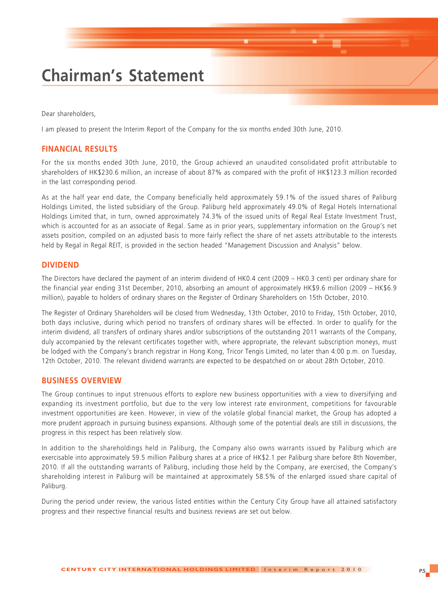## **Chairman's Statement**

Dear shareholders,

I am pleased to present the Interim Report of the Company for the six months ended 30th June, 2010.

#### **FINANCIAL RESULTS**

For the six months ended 30th June, 2010, the Group achieved an unaudited consolidated profit attributable to shareholders of HK\$230.6 million, an increase of about 87% as compared with the profit of HK\$123.3 million recorded in the last corresponding period.

As at the half year end date, the Company beneficially held approximately 59.1% of the issued shares of Paliburg Holdings Limited, the listed subsidiary of the Group. Paliburg held approximately 49.0% of Regal Hotels International Holdings Limited that, in turn, owned approximately 74.3% of the issued units of Regal Real Estate Investment Trust, which is accounted for as an associate of Regal. Same as in prior years, supplementary information on the Group's net assets position, compiled on an adjusted basis to more fairly reflect the share of net assets attributable to the interests held by Regal in Regal REIT, is provided in the section headed "Management Discussion and Analysis" below.

#### **DIVIDEND**

The Directors have declared the payment of an interim dividend of HK0.4 cent (2009 – HK0.3 cent) per ordinary share for the financial year ending 31st December, 2010, absorbing an amount of approximately HK\$9.6 million (2009 – HK\$6.9 million), payable to holders of ordinary shares on the Register of Ordinary Shareholders on 15th October, 2010.

The Register of Ordinary Shareholders will be closed from Wednesday, 13th October, 2010 to Friday, 15th October, 2010, both days inclusive, during which period no transfers of ordinary shares will be effected. In order to qualify for the interim dividend, all transfers of ordinary shares and/or subscriptions of the outstanding 2011 warrants of the Company, duly accompanied by the relevant certificates together with, where appropriate, the relevant subscription moneys, must be lodged with the Company's branch registrar in Hong Kong, Tricor Tengis Limited, no later than 4:00 p.m. on Tuesday, 12th October, 2010. The relevant dividend warrants are expected to be despatched on or about 28th October, 2010.

#### **BUSINESS OVERVIEW**

The Group continues to input strenuous efforts to explore new business opportunities with a view to diversifying and expanding its investment portfolio, but due to the very low interest rate environment, competitions for favourable investment opportunities are keen. However, in view of the volatile global financial market, the Group has adopted a more prudent approach in pursuing business expansions. Although some of the potential deals are still in discussions, the progress in this respect has been relatively slow.

In addition to the shareholdings held in Paliburg, the Company also owns warrants issued by Paliburg which are exercisable into approximately 59.5 million Paliburg shares at a price of HK\$2.1 per Paliburg share before 8th November, 2010. If all the outstanding warrants of Paliburg, including those held by the Company, are exercised, the Company's shareholding interest in Paliburg will be maintained at approximately 58.5% of the enlarged issued share capital of Paliburg.

During the period under review, the various listed entities within the Century City Group have all attained satisfactory progress and their respective financial results and business reviews are set out below.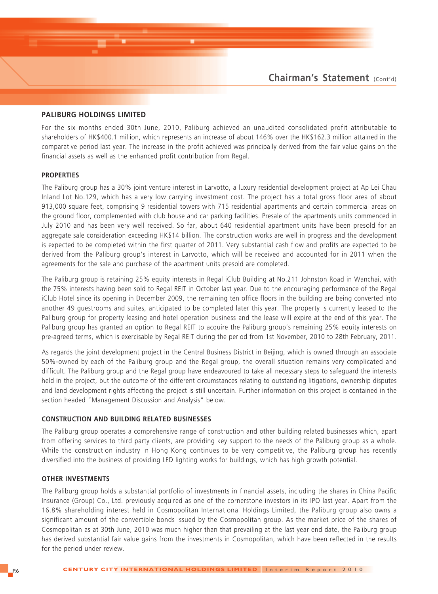#### **PALIBURG HOLDINGS LIMITED**

For the six months ended 30th June, 2010, Paliburg achieved an unaudited consolidated profit attributable to shareholders of HK\$400.1 million, which represents an increase of about 146% over the HK\$162.3 million attained in the comparative period last year. The increase in the profit achieved was principally derived from the fair value gains on the financial assets as well as the enhanced profit contribution from Regal.

#### **PROPERTIES**

The Paliburg group has a 30% joint venture interest in Larvotto, a luxury residential development project at Ap Lei Chau Inland Lot No.129, which has a very low carrying investment cost. The project has a total gross floor area of about 913,000 square feet, comprising 9 residential towers with 715 residential apartments and certain commercial areas on the ground floor, complemented with club house and car parking facilities. Presale of the apartments units commenced in July 2010 and has been very well received. So far, about 640 residential apartment units have been presold for an aggregate sale consideration exceeding HK\$14 billion. The construction works are well in progress and the development is expected to be completed within the first quarter of 2011. Very substantial cash flow and profits are expected to be derived from the Paliburg group's interest in Larvotto, which will be received and accounted for in 2011 when the agreements for the sale and purchase of the apartment units presold are completed.

The Paliburg group is retaining 25% equity interests in Regal iClub Building at No.211 Johnston Road in Wanchai, with the 75% interests having been sold to Regal REIT in October last year. Due to the encouraging performance of the Regal iClub Hotel since its opening in December 2009, the remaining ten office floors in the building are being converted into another 49 guestrooms and suites, anticipated to be completed later this year. The property is currently leased to the Paliburg group for property leasing and hotel operation business and the lease will expire at the end of this year. The Paliburg group has granted an option to Regal REIT to acquire the Paliburg group's remaining 25% equity interests on pre-agreed terms, which is exercisable by Regal REIT during the period from 1st November, 2010 to 28th February, 2011.

As regards the joint development project in the Central Business District in Beijing, which is owned through an associate 50%-owned by each of the Paliburg group and the Regal group, the overall situation remains very complicated and difficult. The Paliburg group and the Regal group have endeavoured to take all necessary steps to safeguard the interests held in the project, but the outcome of the different circumstances relating to outstanding litigations, ownership disputes and land development rights affecting the project is still uncertain. Further information on this project is contained in the section headed "Management Discussion and Analysis" below.

#### **CONSTRUCTION AND BUILDING RELATED BUSINESSES**

The Paliburg group operates a comprehensive range of construction and other building related businesses which, apart from offering services to third party clients, are providing key support to the needs of the Paliburg group as a whole. While the construction industry in Hong Kong continues to be very competitive, the Paliburg group has recently diversified into the business of providing LED lighting works for buildings, which has high growth potential.

#### **OTHER INVESTMENTS**

The Paliburg group holds a substantial portfolio of investments in financial assets, including the shares in China Pacific Insurance (Group) Co., Ltd. previously acquired as one of the cornerstone investors in its IPO last year. Apart from the 16.8% shareholding interest held in Cosmopolitan International Holdings Limited, the Paliburg group also owns a significant amount of the convertible bonds issued by the Cosmopolitan group. As the market price of the shares of Cosmopolitan as at 30th June, 2010 was much higher than that prevailing at the last year end date, the Paliburg group has derived substantial fair value gains from the investments in Cosmopolitan, which have been reflected in the results for the period under review.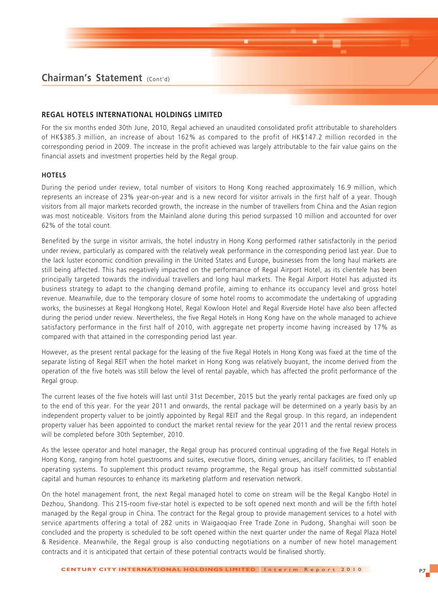#### **REGAL HOTELS INTERNATIONAL HOLDINGS LIMITED**

For the six months ended 30th June, 2010, Regal achieved an unaudited consolidated profit attributable to shareholders of HK\$385.3 million, an increase of about 162% as compared to the profit of HK\$147.2 million recorded in the corresponding period in 2009. The increase in the profit achieved was largely attributable to the fair value gains on the financial assets and investment properties held by the Regal group.

#### **HOTELS**

During the period under review, total number of visitors to Hong Kong reached approximately 16.9 million, which represents an increase of 23% year-on-year and is a new record for visitor arrivals in the first half of a year. Though visitors from all major markets recorded growth, the increase in the number of travellers from China and the Asian region was most noticeable. Visitors from the Mainland alone during this period surpassed 10 million and accounted for over 62% of the total count.

Benefited by the surge in visitor arrivals, the hotel industry in Hong Kong performed rather satisfactorily in the period under review, particularly as compared with the relatively weak performance in the corresponding period last year. Due to the lack luster economic condition prevailing in the United States and Europe, businesses from the long haul markets are still being affected. This has negatively impacted on the performance of Regal Airport Hotel, as its clientele has been principally targeted towards the individual travellers and long haul markets. The Regal Airport Hotel has adjusted its business strategy to adapt to the changing demand profile, aiming to enhance its occupancy level and gross hotel revenue. Meanwhile, due to the temporary closure of some hotel rooms to accommodate the undertaking of upgrading works, the businesses at Regal Hongkong Hotel, Regal Kowloon Hotel and Regal Riverside Hotel have also been affected during the period under review. Nevertheless, the five Regal Hotels in Hong Kong have on the whole managed to achieve satisfactory performance in the first half of 2010, with aggregate net property income having increased by 17% as compared with that attained in the corresponding period last year.

However, as the present rental package for the leasing of the five Regal Hotels in Hong Kong was fixed at the time of the separate listing of Regal REIT when the hotel market in Hong Kong was relatively buoyant, the income derived from the operation of the five hotels was still below the level of rental payable, which has affected the profit performance of the Regal group.

The current leases of the five hotels will last until 31st December, 2015 but the yearly rental packages are fixed only up to the end of this year. For the year 2011 and onwards, the rental package will be determined on a yearly basis by an independent property valuer to be jointly appointed by Regal REIT and the Regal group. In this regard, an independent property valuer has been appointed to conduct the market rental review for the year 2011 and the rental review process will be completed before 30th September, 2010.

As the lessee operator and hotel manager, the Regal group has procured continual upgrading of the five Regal Hotels in Hong Kong, ranging from hotel guestrooms and suites, executive floors, dining venues, ancillary facilities, to IT enabled operating systems. To supplement this product revamp programme, the Regal group has itself committed substantial capital and human resources to enhance its marketing platform and reservation network.

On the hotel management front, the next Regal managed hotel to come on stream will be the Regal Kangbo Hotel in Dezhou, Shandong. This 215-room five-star hotel is expected to be soft opened next month and will be the fifth hotel managed by the Regal group in China. The contract for the Regal group to provide management services to a hotel with service apartments offering a total of 282 units in Waigaoqiao Free Trade Zone in Pudong, Shanghai will soon be concluded and the property is scheduled to be soft opened within the next quarter under the name of Regal Plaza Hotel & Residence. Meanwhile, the Regal group is also conducting negotiations on a number of new hotel management contracts and it is anticipated that certain of these potential contracts would be finalised shortly.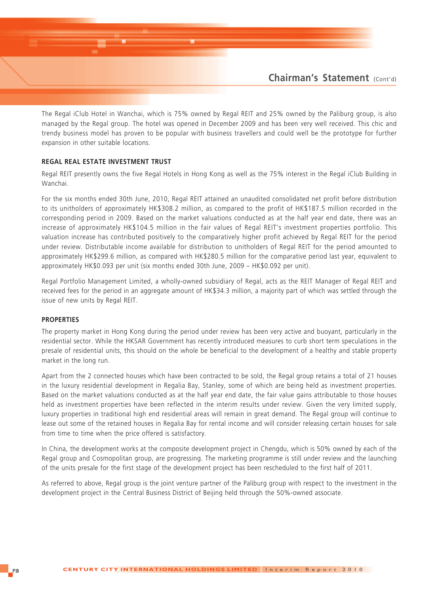

The Regal iClub Hotel in Wanchai, which is 75% owned by Regal REIT and 25% owned by the Paliburg group, is also managed by the Regal group. The hotel was opened in December 2009 and has been very well received. This chic and trendy business model has proven to be popular with business travellers and could well be the prototype for further expansion in other suitable locations.

#### **REGAL REAL ESTATE INVESTMENT TRUST**

Regal REIT presently owns the five Regal Hotels in Hong Kong as well as the 75% interest in the Regal iClub Building in Wanchai.

For the six months ended 30th June, 2010, Regal REIT attained an unaudited consolidated net profit before distribution to its unitholders of approximately HK\$308.2 million, as compared to the profit of HK\$187.5 million recorded in the corresponding period in 2009. Based on the market valuations conducted as at the half year end date, there was an increase of approximately HK\$104.5 million in the fair values of Regal REIT's investment properties portfolio. This valuation increase has contributed positively to the comparatively higher profit achieved by Regal REIT for the period under review. Distributable income available for distribution to unitholders of Regal REIT for the period amounted to approximately HK\$299.6 million, as compared with HK\$280.5 million for the comparative period last year, equivalent to approximately HK\$0.093 per unit (six months ended 30th June, 2009 – HK\$0.092 per unit).

Regal Portfolio Management Limited, a wholly-owned subsidiary of Regal, acts as the REIT Manager of Regal REIT and received fees for the period in an aggregate amount of HK\$34.3 million, a majority part of which was settled through the issue of new units by Regal REIT.

#### **PROPERTIES**

The property market in Hong Kong during the period under review has been very active and buoyant, particularly in the residential sector. While the HKSAR Government has recently introduced measures to curb short term speculations in the presale of residential units, this should on the whole be beneficial to the development of a healthy and stable property market in the long run.

Apart from the 2 connected houses which have been contracted to be sold, the Regal group retains a total of 21 houses in the luxury residential development in Regalia Bay, Stanley, some of which are being held as investment properties. Based on the market valuations conducted as at the half year end date, the fair value gains attributable to those houses held as investment properties have been reflected in the interim results under review. Given the very limited supply, luxury properties in traditional high end residential areas will remain in great demand. The Regal group will continue to lease out some of the retained houses in Regalia Bay for rental income and will consider releasing certain houses for sale from time to time when the price offered is satisfactory.

In China, the development works at the composite development project in Chengdu, which is 50% owned by each of the Regal group and Cosmopolitan group, are progressing. The marketing programme is still under review and the launching of the units presale for the first stage of the development project has been rescheduled to the first half of 2011.

As referred to above, Regal group is the joint venture partner of the Paliburg group with respect to the investment in the development project in the Central Business District of Beijing held through the 50%-owned associate.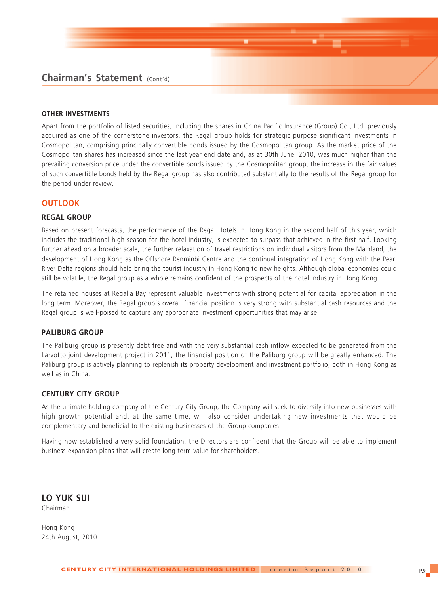### **Chairman's Statement** (Cont'd)

#### **OTHER INVESTMENTS**

Apart from the portfolio of listed securities, including the shares in China Pacific Insurance (Group) Co., Ltd. previously acquired as one of the cornerstone investors, the Regal group holds for strategic purpose significant investments in Cosmopolitan, comprising principally convertible bonds issued by the Cosmopolitan group. As the market price of the Cosmopolitan shares has increased since the last year end date and, as at 30th June, 2010, was much higher than the prevailing conversion price under the convertible bonds issued by the Cosmopolitan group, the increase in the fair values of such convertible bonds held by the Regal group has also contributed substantially to the results of the Regal group for the period under review.

#### **OUTLOOK**

#### **REGAL GROUP**

Based on present forecasts, the performance of the Regal Hotels in Hong Kong in the second half of this year, which includes the traditional high season for the hotel industry, is expected to surpass that achieved in the first half. Looking further ahead on a broader scale, the further relaxation of travel restrictions on individual visitors from the Mainland, the development of Hong Kong as the Offshore Renminbi Centre and the continual integration of Hong Kong with the Pearl River Delta regions should help bring the tourist industry in Hong Kong to new heights. Although global economies could still be volatile, the Regal group as a whole remains confident of the prospects of the hotel industry in Hong Kong.

The retained houses at Regalia Bay represent valuable investments with strong potential for capital appreciation in the long term. Moreover, the Regal group's overall financial position is very strong with substantial cash resources and the Regal group is well-poised to capture any appropriate investment opportunities that may arise.

#### **PALIBURG GROUP**

The Paliburg group is presently debt free and with the very substantial cash inflow expected to be generated from the Larvotto joint development project in 2011, the financial position of the Paliburg group will be greatly enhanced. The Paliburg group is actively planning to replenish its property development and investment portfolio, both in Hong Kong as well as in China.

#### **CENTURY CITY GROUP**

As the ultimate holding company of the Century City Group, the Company will seek to diversify into new businesses with high growth potential and, at the same time, will also consider undertaking new investments that would be complementary and beneficial to the existing businesses of the Group companies.

Having now established a very solid foundation, the Directors are confident that the Group will be able to implement business expansion plans that will create long term value for shareholders.

**LO YUK SUI** Chairman

Hong Kong 24th August, 2010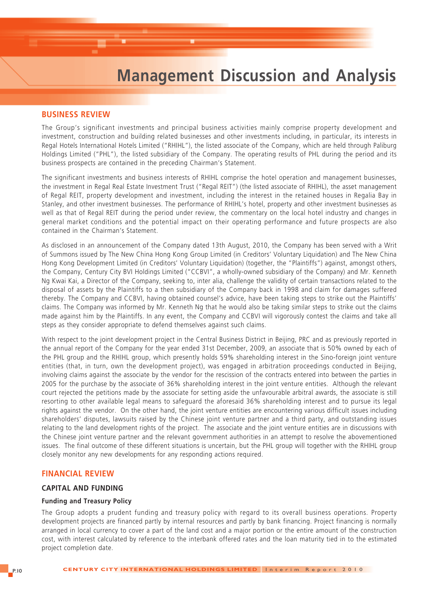## **Management Discussion and Analysis**

#### **BUSINESS REVIEW**

The Group's significant investments and principal business activities mainly comprise property development and investment, construction and building related businesses and other investments including, in particular, its interests in Regal Hotels International Hotels Limited ("RHIHL"), the listed associate of the Company, which are held through Paliburg Holdings Limited ("PHL"), the listed subsidiary of the Company. The operating results of PHL during the period and its business prospects are contained in the preceding Chairman's Statement.

The significant investments and business interests of RHIHL comprise the hotel operation and management businesses, the investment in Regal Real Estate Investment Trust ("Regal REIT") (the listed associate of RHIHL), the asset management of Regal REIT, property development and investment, including the interest in the retained houses in Regalia Bay in Stanley, and other investment businesses. The performance of RHIHL's hotel, property and other investment businesses as well as that of Regal REIT during the period under review, the commentary on the local hotel industry and changes in general market conditions and the potential impact on their operating performance and future prospects are also contained in the Chairman's Statement.

As disclosed in an announcement of the Company dated 13th August, 2010, the Company has been served with a Writ of Summons issued by The New China Hong Kong Group Limited (in Creditors' Voluntary Liquidation) and The New China Hong Kong Development Limited (in Creditors' Voluntary Liquidation) (together, the "Plaintiffs") against, amongst others, the Company, Century City BVI Holdings Limited ("CCBVI", a wholly-owned subsidiary of the Company) and Mr. Kenneth Ng Kwai Kai, a Director of the Company, seeking to, inter alia, challenge the validity of certain transactions related to the disposal of assets by the Plaintiffs to a then subsidiary of the Company back in 1998 and claim for damages suffered thereby. The Company and CCBVI, having obtained counsel's advice, have been taking steps to strike out the Plaintiffs' claims. The Company was informed by Mr. Kenneth Ng that he would also be taking similar steps to strike out the claims made against him by the Plaintiffs. In any event, the Company and CCBVI will vigorously contest the claims and take all steps as they consider appropriate to defend themselves against such claims.

With respect to the joint development project in the Central Business District in Beijing, PRC and as previously reported in the annual report of the Company for the year ended 31st December, 2009, an associate that is 50% owned by each of the PHL group and the RHIHL group, which presently holds 59% shareholding interest in the Sino-foreign joint venture entities (that, in turn, own the development project), was engaged in arbitration proceedings conducted in Beijing, involving claims against the associate by the vendor for the rescission of the contracts entered into between the parties in 2005 for the purchase by the associate of 36% shareholding interest in the joint venture entities. Although the relevant court rejected the petitions made by the associate for setting aside the unfavourable arbitral awards, the associate is still resorting to other available legal means to safeguard the aforesaid 36% shareholding interest and to pursue its legal rights against the vendor. On the other hand, the joint venture entities are encountering various difficult issues including shareholders' disputes, lawsuits raised by the Chinese joint venture partner and a third party, and outstanding issues relating to the land development rights of the project. The associate and the joint venture entities are in discussions with the Chinese joint venture partner and the relevant government authorities in an attempt to resolve the abovementioned issues. The final outcome of these different situations is uncertain, but the PHL group will together with the RHIHL group closely monitor any new developments for any responding actions required.

#### **FINANCIAL REVIEW**

#### **CAPITAL AND FUNDING**

#### **Funding and Treasury Policy**

The Group adopts a prudent funding and treasury policy with regard to its overall business operations. Property development projects are financed partly by internal resources and partly by bank financing. Project financing is normally arranged in local currency to cover a part of the land cost and a major portion or the entire amount of the construction cost, with interest calculated by reference to the interbank offered rates and the loan maturity tied in to the estimated project completion date.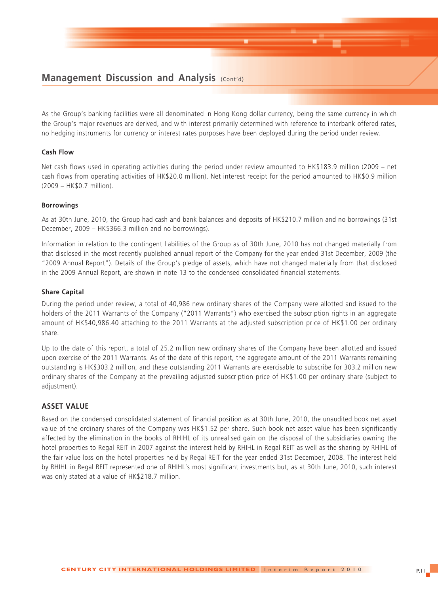### **Management Discussion and Analysis (Cont'd)**

As the Group's banking facilities were all denominated in Hong Kong dollar currency, being the same currency in which the Group's major revenues are derived, and with interest primarily determined with reference to interbank offered rates, no hedging instruments for currency or interest rates purposes have been deployed during the period under review.

#### **Cash Flow**

Net cash flows used in operating activities during the period under review amounted to HK\$183.9 million (2009 – net cash flows from operating activities of HK\$20.0 million). Net interest receipt for the period amounted to HK\$0.9 million (2009 – HK\$0.7 million).

#### **Borrowings**

As at 30th June, 2010, the Group had cash and bank balances and deposits of HK\$210.7 million and no borrowings (31st December, 2009 – HK\$366.3 million and no borrowings).

Information in relation to the contingent liabilities of the Group as of 30th June, 2010 has not changed materially from that disclosed in the most recently published annual report of the Company for the year ended 31st December, 2009 (the "2009 Annual Report"). Details of the Group's pledge of assets, which have not changed materially from that disclosed in the 2009 Annual Report, are shown in note 13 to the condensed consolidated financial statements.

#### **Share Capital**

During the period under review, a total of 40,986 new ordinary shares of the Company were allotted and issued to the holders of the 2011 Warrants of the Company ("2011 Warrants") who exercised the subscription rights in an aggregate amount of HK\$40,986.40 attaching to the 2011 Warrants at the adjusted subscription price of HK\$1.00 per ordinary share.

Up to the date of this report, a total of 25.2 million new ordinary shares of the Company have been allotted and issued upon exercise of the 2011 Warrants. As of the date of this report, the aggregate amount of the 2011 Warrants remaining outstanding is HK\$303.2 million, and these outstanding 2011 Warrants are exercisable to subscribe for 303.2 million new ordinary shares of the Company at the prevailing adjusted subscription price of HK\$1.00 per ordinary share (subject to adjustment).

#### **ASSET VALUE**

Based on the condensed consolidated statement of financial position as at 30th June, 2010, the unaudited book net asset value of the ordinary shares of the Company was HK\$1.52 per share. Such book net asset value has been significantly affected by the elimination in the books of RHIHL of its unrealised gain on the disposal of the subsidiaries owning the hotel properties to Regal REIT in 2007 against the interest held by RHIHL in Regal REIT as well as the sharing by RHIHL of the fair value loss on the hotel properties held by Regal REIT for the year ended 31st December, 2008. The interest held by RHIHL in Regal REIT represented one of RHIHL's most significant investments but, as at 30th June, 2010, such interest was only stated at a value of HK\$218.7 million.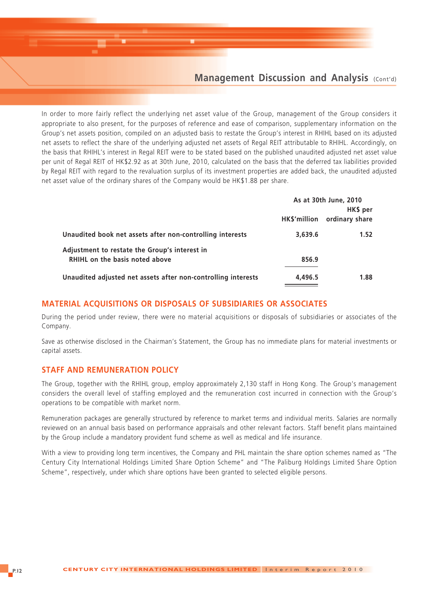### **Management Discussion and Analysis (Cont'd)**

In order to more fairly reflect the underlying net asset value of the Group, management of the Group considers it appropriate to also present, for the purposes of reference and ease of comparison, supplementary information on the Group's net assets position, compiled on an adjusted basis to restate the Group's interest in RHIHL based on its adjusted net assets to reflect the share of the underlying adjusted net assets of Regal REIT attributable to RHIHL. Accordingly, on the basis that RHIHL's interest in Regal REIT were to be stated based on the published unaudited adjusted net asset value per unit of Regal REIT of HK\$2.92 as at 30th June, 2010, calculated on the basis that the deferred tax liabilities provided by Regal REIT with regard to the revaluation surplus of its investment properties are added back, the unaudited adjusted net asset value of the ordinary shares of the Company would be HK\$1.88 per share.

|                                                               |         | As at 30th June, 2010       |
|---------------------------------------------------------------|---------|-----------------------------|
|                                                               |         | HK\$ per                    |
|                                                               |         | HK\$'million ordinary share |
| Unaudited book net assets after non-controlling interests     | 3,639.6 | 1.52                        |
| Adjustment to restate the Group's interest in                 |         |                             |
| <b>RHIHL</b> on the basis noted above                         | 856.9   |                             |
| Unaudited adjusted net assets after non-controlling interests | 4,496.5 | 1.88                        |

#### **MATERIAL ACQUISITIONS OR DISPOSALS OF SUBSIDIARIES OR ASSOCIATES**

During the period under review, there were no material acquisitions or disposals of subsidiaries or associates of the Company.

Save as otherwise disclosed in the Chairman's Statement, the Group has no immediate plans for material investments or capital assets.

#### **STAFF AND REMUNERATION POLICY**

The Group, together with the RHIHL group, employ approximately 2,130 staff in Hong Kong. The Group's management considers the overall level of staffing employed and the remuneration cost incurred in connection with the Group's operations to be compatible with market norm.

Remuneration packages are generally structured by reference to market terms and individual merits. Salaries are normally reviewed on an annual basis based on performance appraisals and other relevant factors. Staff benefit plans maintained by the Group include a mandatory provident fund scheme as well as medical and life insurance.

With a view to providing long term incentives, the Company and PHL maintain the share option schemes named as "The Century City International Holdings Limited Share Option Scheme" and "The Paliburg Holdings Limited Share Option Scheme", respectively, under which share options have been granted to selected eligible persons.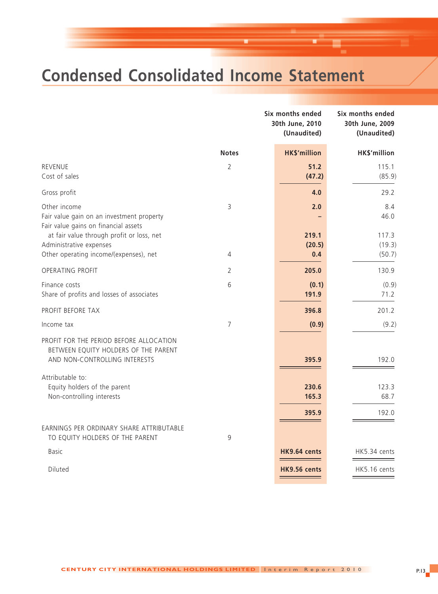# **Condensed Consolidated Income Statement**

|                                                                                                                  |                | Six months ended<br>30th June, 2010<br>(Unaudited) | Six months ended<br>30th June, 2009<br>(Unaudited) |
|------------------------------------------------------------------------------------------------------------------|----------------|----------------------------------------------------|----------------------------------------------------|
|                                                                                                                  | <b>Notes</b>   | <b>HK\$'million</b>                                | HK\$'million                                       |
| <b>REVENUE</b><br>Cost of sales                                                                                  | $\overline{2}$ | 51.2<br>(47.2)                                     | 115.1<br>(85.9)                                    |
| Gross profit                                                                                                     |                | 4.0                                                | 29.2                                               |
| Other income<br>Fair value gain on an investment property<br>Fair value gains on financial assets                | 3              | 2.0                                                | 8.4<br>46.0                                        |
| at fair value through profit or loss, net<br>Administrative expenses                                             |                | 219.1<br>(20.5)                                    | 117.3<br>(19.3)                                    |
| Other operating income/(expenses), net                                                                           | 4              | 0.4                                                | (50.7)                                             |
| OPERATING PROFIT                                                                                                 | 2              | 205.0                                              | 130.9                                              |
| Finance costs<br>Share of profits and losses of associates                                                       | 6              | (0.1)<br>191.9                                     | (0.9)<br>71.2                                      |
| PROFIT BEFORE TAX                                                                                                |                | 396.8                                              | 201.2                                              |
| Income tax                                                                                                       | $\overline{7}$ | (0.9)                                              | (9.2)                                              |
| PROFIT FOR THE PERIOD BEFORE ALLOCATION<br>BETWEEN EQUITY HOLDERS OF THE PARENT<br>AND NON-CONTROLLING INTERESTS |                | 395.9                                              | 192.0                                              |
| Attributable to:<br>Equity holders of the parent<br>Non-controlling interests                                    |                | 230.6<br>165.3                                     | 123.3<br>68.7                                      |
|                                                                                                                  |                | 395.9                                              | 192.0                                              |
| EARNINGS PER ORDINARY SHARE ATTRIBUTABLE<br>TO EQUITY HOLDERS OF THE PARENT                                      | 9              |                                                    |                                                    |
| <b>Basic</b>                                                                                                     |                | HK9.64 cents                                       | HK5.34 cents                                       |
| Diluted                                                                                                          |                | HK9.56 cents                                       | HK5.16 cents                                       |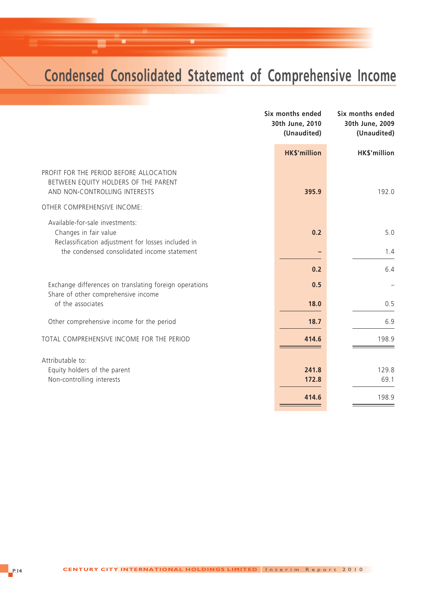## **Condensed Consolidated Statement of Comprehensive Income**

|                                                                                                                  | Six months ended<br>30th June, 2010<br>(Unaudited) | Six months ended<br>30th June, 2009<br>(Unaudited) |
|------------------------------------------------------------------------------------------------------------------|----------------------------------------------------|----------------------------------------------------|
|                                                                                                                  | <b>HK\$'million</b>                                | HK\$'million                                       |
| PROFIT FOR THE PERIOD BEFORE ALLOCATION<br>BETWEEN EQUITY HOLDERS OF THE PARENT<br>AND NON-CONTROLLING INTERESTS | 395.9                                              | 192.0                                              |
| OTHER COMPREHENSIVE INCOME:                                                                                      |                                                    |                                                    |
| Available-for-sale investments:<br>Changes in fair value<br>Reclassification adjustment for losses included in   | 0.2                                                | 5.0                                                |
| the condensed consolidated income statement                                                                      |                                                    | 1.4                                                |
|                                                                                                                  | 0.2                                                | 6.4                                                |
| Exchange differences on translating foreign operations<br>Share of other comprehensive income                    | 0.5                                                |                                                    |
| of the associates                                                                                                | 18.0                                               | 0.5                                                |
| Other comprehensive income for the period                                                                        | 18.7                                               | 6.9                                                |
| TOTAL COMPREHENSIVE INCOME FOR THE PERIOD                                                                        | 414.6                                              | 198.9                                              |
| Attributable to:                                                                                                 |                                                    |                                                    |
| Equity holders of the parent                                                                                     | 241.8                                              | 129.8                                              |
| Non-controlling interests                                                                                        | 172.8                                              | 69.1                                               |
|                                                                                                                  | 414.6                                              | 198.9                                              |
|                                                                                                                  |                                                    |                                                    |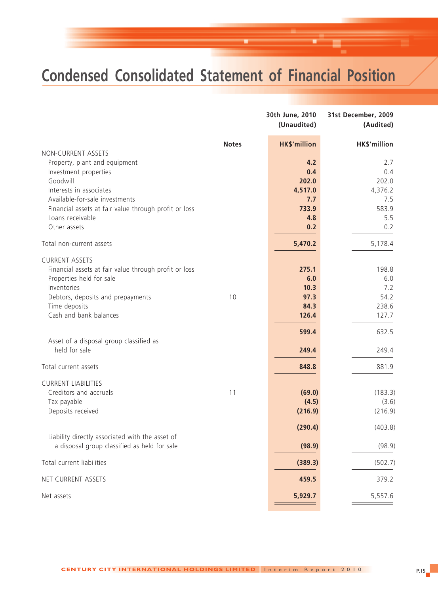## **Condensed Consolidated Statement of Financial Position**

|                                                          |              | 30th June, 2010<br>(Unaudited) | 31st December, 2009<br>(Audited) |
|----------------------------------------------------------|--------------|--------------------------------|----------------------------------|
|                                                          | <b>Notes</b> | <b>HK\$'million</b>            | HK\$'million                     |
| NON-CURRENT ASSETS                                       |              |                                |                                  |
| Property, plant and equipment<br>Investment properties   |              | 4.2<br>0.4                     | 2.7<br>0.4                       |
| Goodwill                                                 |              | 202.0                          | 202.0                            |
| Interests in associates                                  |              | 4,517.0                        | 4,376.2                          |
| Available-for-sale investments                           |              | 7.7                            | 7.5                              |
| Financial assets at fair value through profit or loss    |              | 733.9                          | 583.9                            |
| Loans receivable                                         |              | 4.8                            | 5.5                              |
| Other assets                                             |              | 0.2                            | 0.2                              |
| Total non-current assets                                 |              | 5,470.2                        | 5,178.4                          |
| <b>CURRENT ASSETS</b>                                    |              |                                |                                  |
| Financial assets at fair value through profit or loss    |              | 275.1                          | 198.8                            |
| Properties held for sale                                 |              | 6.0                            | 6.0                              |
| Inventories                                              |              | 10.3                           | 7.2                              |
| Debtors, deposits and prepayments                        | 10           | 97.3                           | 54.2                             |
| Time deposits                                            |              | 84.3                           | 238.6                            |
| Cash and bank balances                                   |              | 126.4                          | 127.7                            |
|                                                          |              | 599.4                          | 632.5                            |
| Asset of a disposal group classified as<br>held for sale |              | 249.4                          | 249.4                            |
| Total current assets                                     |              | 848.8                          | 881.9                            |
| <b>CURRENT LIABILITIES</b>                               |              |                                |                                  |
| Creditors and accruals                                   | 11           | (69.0)                         | (183.3)                          |
| Tax payable                                              |              | (4.5)                          | (3.6)                            |
| Deposits received                                        |              | (216.9)                        | (216.9)                          |
|                                                          |              | (290.4)                        | (403.8)                          |
| Liability directly associated with the asset of          |              |                                |                                  |
| a disposal group classified as held for sale             |              | (98.9)                         | (98.9)                           |
| Total current liabilities                                |              | (389.3)                        | (502.7)                          |
| NET CURRENT ASSETS                                       |              | 459.5                          | 379.2                            |
| Net assets                                               |              | 5,929.7                        | 5,557.6                          |
|                                                          |              |                                |                                  |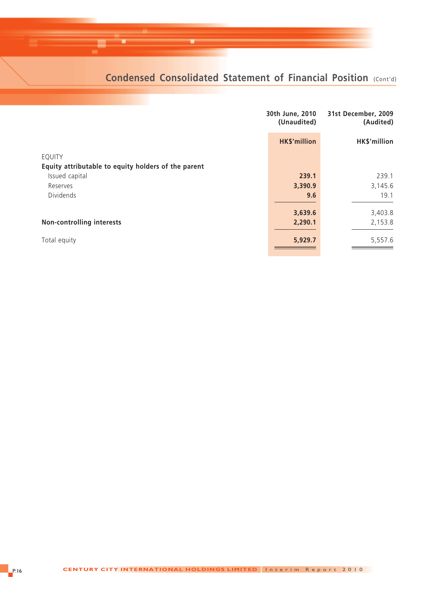## **Condensed Consolidated Statement of Financial Position (Cont'd)**

|                                                     | 30th June, 2010<br>(Unaudited) | 31st December, 2009<br>(Audited) |
|-----------------------------------------------------|--------------------------------|----------------------------------|
|                                                     | <b>HK\$'million</b>            | HK\$'million                     |
| EQUITY                                              |                                |                                  |
| Equity attributable to equity holders of the parent |                                |                                  |
| Issued capital                                      | 239.1                          | 239.1                            |
| Reserves                                            | 3,390.9                        | 3,145.6                          |
| Dividends                                           | 9.6                            | 19.1                             |
|                                                     | 3,639.6                        | 3,403.8                          |
| <b>Non-controlling interests</b>                    | 2,290.1                        | 2,153.8                          |
| Total equity                                        | 5,929.7                        | 5,557.6                          |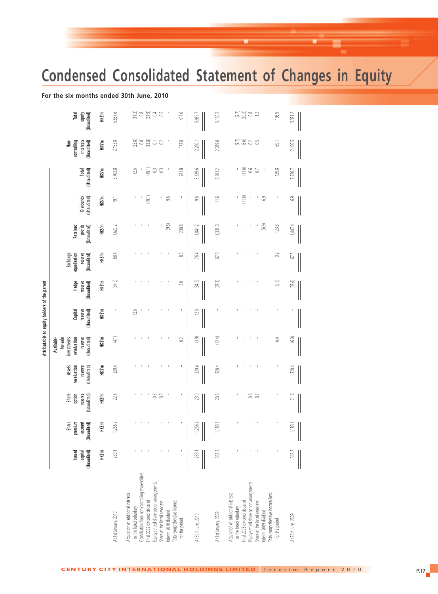## **Condensed Consolidated Statement of Changes in Equity**

#### **For the six months ended 30th June, 2010**

|                                                                        | Issued<br>capital<br>(Unaudited) | Share<br>premium<br>account<br>(Unaudited) | option<br>Share<br>reserve<br>(Unaudited) | revaluation<br>Assets<br>reserve<br>(Unaudited) | Available-<br>for-sale<br>investments<br>revaluation<br>reserve<br>(Unaudited) | Capital<br>reserve<br>(Unaudited) | Hedge<br>reserve<br>(Unaudited) | Exchange<br>equalisation<br>reserve<br>(Unaudited) | profits<br>(Unaudited)<br>Retained | Dividends<br>(Unaudited) | Total<br>(Unaudited)     | Non-<br>controlling<br>(Unaudited)<br>interests | Total<br>equity<br>(Unaudited)   |
|------------------------------------------------------------------------|----------------------------------|--------------------------------------------|-------------------------------------------|-------------------------------------------------|--------------------------------------------------------------------------------|-----------------------------------|---------------------------------|----------------------------------------------------|------------------------------------|--------------------------|--------------------------|-------------------------------------------------|----------------------------------|
|                                                                        | HK\$'m                           | HK\$'m                                     | HK\$'m                                    | HK\$'m                                          | HK\$'m                                                                         | HK\$'m                            | HK\$'m                          | HK\$'m                                             | HK\$'m                             | HK\$'m                   | HK\$'m                   | HK\$'m                                          | HK\$'m                           |
| At 1st January, 2010                                                   | 239.1                            | 1,256.2                                    | 22.4                                      | 220.4                                           | (4.1)                                                                          |                                   | (37.9)                          | 68.4                                               | 1,620.2                            | $\overline{19}$ .        | 3,403.8                  | 2,153.8                                         | 5,557.6                          |
| cquisition of additional interests<br>in the listed subsidiary         |                                  |                                            |                                           |                                                 |                                                                                | 12.5                              |                                 |                                                    |                                    |                          | 125                      |                                                 |                                  |
| contribution from non-controlling shareholders                         |                                  |                                            |                                           |                                                 |                                                                                |                                   |                                 |                                                    |                                    |                          |                          | $(23.8)$<br>$(13.8)$                            |                                  |
| quity-settled share option arrangements<br>inal 2009 dividend declared |                                  |                                            | 3                                         |                                                 |                                                                                |                                   |                                 |                                                    |                                    | (19.1)                   | (19.1)<br>$\mathbb{C}^3$ |                                                 | $(11.3)$<br>$(32.9)$<br>$(32.3)$ |
| hare of the listed associate                                           |                                  |                                            | 3                                         |                                                 |                                                                                |                                   |                                 |                                                    |                                    |                          | $\mathbb{S}$             | $\overline{0}$ 3                                | $\mathbb{S}$                     |
| nterim 2010 dividend                                                   |                                  |                                            |                                           |                                                 |                                                                                |                                   |                                 |                                                    | (9.6)                              | 9.6                      |                          |                                                 |                                  |
| otal comprehensive income<br>for the period                            |                                  |                                            |                                           |                                                 | 3                                                                              |                                   | 3.0                             | ∞                                                  | 230.6                              |                          | 241.8                    | 172.8                                           | 414.6                            |
| At 30th June, 2010                                                     | 239.1                            | 1,256.                                     | 23.0                                      | 220,                                            | (3.9)                                                                          | 12.5                              | (34.9)                          | 76.                                                | 1,841.                             | o,                       | 3,639.                   | 2,290.                                          | 5,929.7                          |
| At 1st January, 2009                                                   | 312.2                            | 1,183.1                                    | 20.3                                      | 220.4                                           | (12.4)                                                                         |                                   | (32.3)                          | 67.3                                               | 1,331.0                            | 11.6                     | 3,101.2                  | 2,049.0                                         | 5,150.2                          |
| cquisition of additional interests<br>in the listed subsidiary         |                                  |                                            |                                           |                                                 |                                                                                |                                   |                                 |                                                    |                                    |                          |                          |                                                 |                                  |
| inal 2008 dividend declared                                            |                                  |                                            |                                           |                                                 |                                                                                |                                   |                                 |                                                    |                                    | (11.6)                   |                          | $(9.7)$<br>$(8.6)$                              | $(30.2)$<br>$(20.3)$             |
| iquity-settled share option arrangements                               |                                  |                                            | 0.6                                       |                                                 |                                                                                |                                   |                                 |                                                    |                                    |                          | $(11.6)$<br>0.6          |                                                 |                                  |
| hare of the listed associate                                           |                                  |                                            | G                                         |                                                 |                                                                                |                                   |                                 |                                                    |                                    |                          | $\overline{\omega}$      | $\mathbb{S}^5$                                  | $\square$                        |
| otal comprehensive income/(loss)<br>nterim 2009 dividend               |                                  |                                            |                                           |                                                 |                                                                                |                                   |                                 |                                                    | (6.9)                              | $6.9\,$                  |                          |                                                 |                                  |
| for the period                                                         |                                  |                                            |                                           |                                                 | 2                                                                              |                                   | $\widehat{\mathbb{C}}$          | S                                                  | 123.3                              |                          | 129.8                    | Ġ,                                              | 198.9                            |
| At 30th June, 2009                                                     | 312.2                            | 1,183.1                                    | 21.6                                      | 220.4                                           | نی                                                                             |                                   | (32.4)                          | 67.5                                               | 1,447.                             | َف                       | 3,220.                   | 2,100.                                          | 5,321.2                          |
|                                                                        |                                  |                                            |                                           |                                                 |                                                                                |                                   |                                 |                                                    |                                    |                          |                          |                                                 |                                  |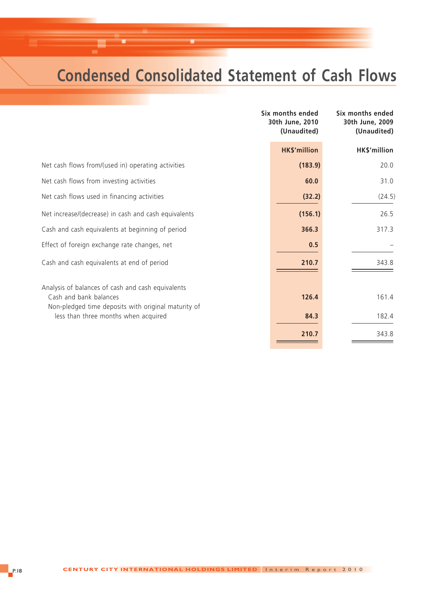## **Condensed Consolidated Statement of Cash Flows**

|                                                                                                                                    | Six months ended<br>30th June, 2010<br>(Unaudited) | Six months ended<br>30th June, 2009<br>(Unaudited) |
|------------------------------------------------------------------------------------------------------------------------------------|----------------------------------------------------|----------------------------------------------------|
|                                                                                                                                    | <b>HK\$'million</b>                                | HK\$'million                                       |
| Net cash flows from/(used in) operating activities                                                                                 | (183.9)                                            | 20.0                                               |
| Net cash flows from investing activities                                                                                           | 60.0                                               | 31.0                                               |
| Net cash flows used in financing activities                                                                                        | (32.2)                                             | (24.5)                                             |
| Net increase/(decrease) in cash and cash equivalents                                                                               | (156.1)                                            | 26.5                                               |
| Cash and cash equivalents at beginning of period                                                                                   | 366.3                                              | 317.3                                              |
| Effect of foreign exchange rate changes, net                                                                                       | 0.5                                                |                                                    |
| Cash and cash equivalents at end of period                                                                                         | 210.7                                              | 343.8                                              |
| Analysis of balances of cash and cash equivalents<br>Cash and bank balances<br>Non-pledged time deposits with original maturity of | 126.4                                              | 161.4                                              |
| less than three months when acquired                                                                                               | 84.3                                               | 182.4                                              |
|                                                                                                                                    | 210.7                                              | 343.8                                              |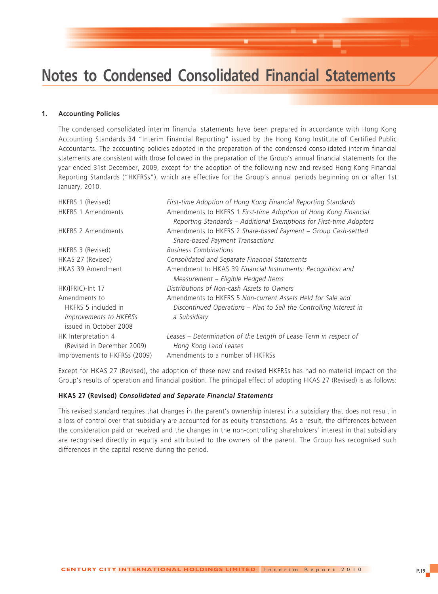#### **1. Accounting Policies**

The condensed consolidated interim financial statements have been prepared in accordance with Hong Kong Accounting Standards 34 "Interim Financial Reporting" issued by the Hong Kong Institute of Certified Public Accountants. The accounting policies adopted in the preparation of the condensed consolidated interim financial statements are consistent with those followed in the preparation of the Group's annual financial statements for the year ended 31st December, 2009, except for the adoption of the following new and revised Hong Kong Financial Reporting Standards ("HKFRSs"), which are effective for the Group's annual periods beginning on or after 1st January, 2010.

| HKFRS 1 (Revised)                                                                               | First-time Adoption of Hong Kong Financial Reporting Standards                                                                                   |
|-------------------------------------------------------------------------------------------------|--------------------------------------------------------------------------------------------------------------------------------------------------|
| <b>HKFRS 1 Amendments</b>                                                                       | Amendments to HKFRS 1 First-time Adoption of Hong Kong Financial<br>Reporting Standards - Additional Exemptions for First-time Adopters          |
| <b>HKFRS 2 Amendments</b>                                                                       | Amendments to HKFRS 2 Share-based Payment - Group Cash-settled<br>Share-based Payment Transactions                                               |
| HKFRS 3 (Revised)                                                                               | <b>Business Combinations</b>                                                                                                                     |
| HKAS 27 (Revised)                                                                               | Consolidated and Separate Financial Statements                                                                                                   |
| HKAS 39 Amendment                                                                               | Amendment to HKAS 39 Financial Instruments: Recognition and<br>Measurement - Eligible Hedged Items                                               |
| HK(IFRIC)-Int 17                                                                                | Distributions of Non-cash Assets to Owners                                                                                                       |
| Amendments to<br>HKFRS 5 included in<br><i>Improvements to HKFRSs</i><br>issued in October 2008 | Amendments to HKFRS 5 Non-current Assets Held for Sale and<br>Discontinued Operations - Plan to Sell the Controlling Interest in<br>a Subsidiary |
| HK Interpretation 4<br>(Revised in December 2009)<br>Improvements to HKFRSs (2009)              | Leases – Determination of the Length of Lease Term in respect of<br>Hong Kong Land Leases<br>Amendments to a number of HKFRSs                    |
|                                                                                                 |                                                                                                                                                  |

Except for HKAS 27 (Revised), the adoption of these new and revised HKFRSs has had no material impact on the Group's results of operation and financial position. The principal effect of adopting HKAS 27 (Revised) is as follows:

#### **HKAS 27 (Revised)** *Consolidated and Separate Financial Statements*

This revised standard requires that changes in the parent's ownership interest in a subsidiary that does not result in a loss of control over that subsidiary are accounted for as equity transactions. As a result, the differences between the consideration paid or received and the changes in the non-controlling shareholders' interest in that subsidiary are recognised directly in equity and attributed to the owners of the parent. The Group has recognised such differences in the capital reserve during the period.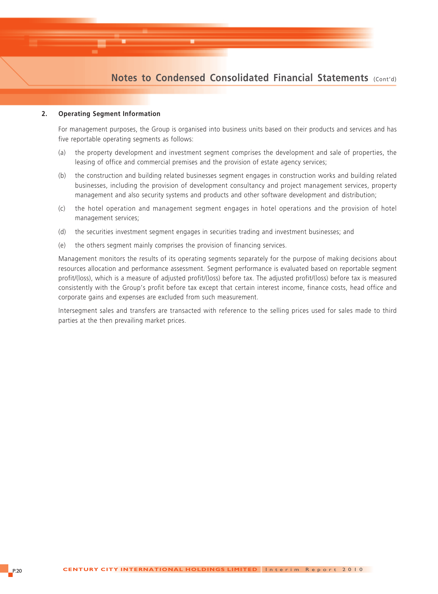#### **2. Operating Segment Information**

For management purposes, the Group is organised into business units based on their products and services and has five reportable operating segments as follows:

- (a) the property development and investment segment comprises the development and sale of properties, the leasing of office and commercial premises and the provision of estate agency services;
- (b) the construction and building related businesses segment engages in construction works and building related businesses, including the provision of development consultancy and project management services, property management and also security systems and products and other software development and distribution;
- (c) the hotel operation and management segment engages in hotel operations and the provision of hotel management services;
- (d) the securities investment segment engages in securities trading and investment businesses; and
- (e) the others segment mainly comprises the provision of financing services.

Management monitors the results of its operating segments separately for the purpose of making decisions about resources allocation and performance assessment. Segment performance is evaluated based on reportable segment profit/(loss), which is a measure of adjusted profit/(loss) before tax. The adjusted profit/(loss) before tax is measured consistently with the Group's profit before tax except that certain interest income, finance costs, head office and corporate gains and expenses are excluded from such measurement.

Intersegment sales and transfers are transacted with reference to the selling prices used for sales made to third parties at the then prevailing market prices.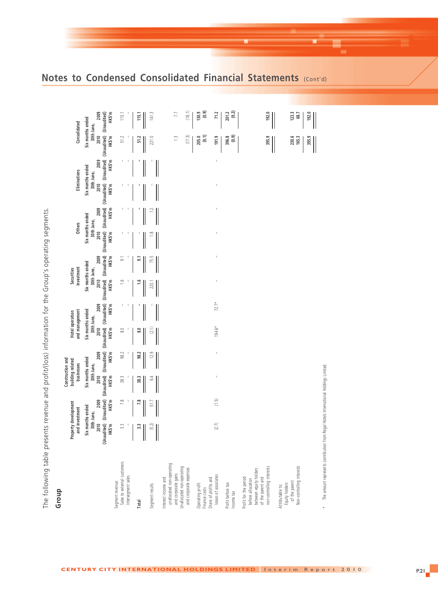| Group                                                                                                                         |                |                                                                             |                | Construction and                                 |                                                                   |                                                 |               |                                                                            |                |                                                                             |                |                                                                             |                                           |                                                  |  |
|-------------------------------------------------------------------------------------------------------------------------------|----------------|-----------------------------------------------------------------------------|----------------|--------------------------------------------------|-------------------------------------------------------------------|-------------------------------------------------|---------------|----------------------------------------------------------------------------|----------------|-----------------------------------------------------------------------------|----------------|-----------------------------------------------------------------------------|-------------------------------------------|--------------------------------------------------|--|
|                                                                                                                               |                | Property development<br>and investment                                      |                | building related<br>businesses                   |                                                                   | and management<br>Hotel operation               |               | investment<br>Securities                                                   |                | <b>Others</b>                                                               |                | Eliminations                                                                |                                           | Consolidated                                     |  |
|                                                                                                                               | 2010<br>HK\$'m | (Unaudited) (Unaudited)<br>2009<br>HK\$'m<br>Six months ended<br>30th June, | 2010<br>HK\$'m | 2009<br>HK\$'m<br>Six months ended<br>30th June, | (Unaudited) (Unaudited) (Unaudited) (Unaudited)<br>2010<br>HK\$'m | 2009<br>HKS'm<br>Six months ended<br>30th June, | 2010<br>HKS'm | (Unaudited) (Unaudited)<br>2009<br>HKS'm<br>Six months ended<br>30th June, | 2010<br>HK\$'m | (Unaudited) (Unaudited)<br>2009<br>HK\$'m<br>Six months ended<br>30th June, | 2010<br>HK\$'m | (Unaudited) (Unaudited)<br>2009<br>HK\$'m<br>Six months ended<br>30th June, | (Unaudited) (Unaudited)<br>2010<br>HK\$'m | 2009<br>HK\$'m<br>Six months ended<br>30th June, |  |
| Sales to external customers<br>Intersegment sales<br>segment revenue:                                                         | 3.3            | 7.8                                                                         | 38.3           | 98.2                                             | $\rm ^{8.0}$                                                      |                                                 | 1.6           | $\overline{\mathfrak{s}}$                                                  |                |                                                                             |                |                                                                             | 51.2                                      | 115.1                                            |  |
| Total                                                                                                                         | $\ddot{3}$     | 7.8                                                                         | 38.3           | 98.2                                             | $\frac{8}{10}$                                                    |                                                 | $\frac{6}{1}$ | $\overline{5}$                                                             |                |                                                                             |                |                                                                             | 51.2                                      | 115.1                                            |  |
| Segment results                                                                                                               | (5.2)          | 51.7                                                                        | 6.4            | 12.9                                             | (2.1)                                                             |                                                 | 220.1         | 75.5                                                                       | $\frac{8}{1}$  | $\approx$                                                                   |                |                                                                             | 221.0                                     | 141.3                                            |  |
| unallocated non-operating<br>Jnallocated non-operating<br>and corporate expenses<br>and corporate gains<br>nterest income and |                |                                                                             |                |                                                  |                                                                   |                                                 |               |                                                                            |                |                                                                             |                |                                                                             | (17.3)<br>$\frac{1}{2}$                   | (18.1)<br>7.7                                    |  |
| Share of profits and<br>Operating profit<br>Finance costs                                                                     |                |                                                                             |                |                                                  |                                                                   |                                                 |               |                                                                            |                |                                                                             |                |                                                                             | (0.1)<br>205.0                            | (0.9)<br>130.9                                   |  |
| losses of associates                                                                                                          | (2.7)          | (1.5)                                                                       | J.             | $\mathbb{I}$                                     | $194.6*$                                                          | $72.7*$                                         | $\mathbb{I}$  | t                                                                          |                | $\mathbf I$                                                                 |                | $\mathbf I$                                                                 | 191.9                                     | 71.2                                             |  |
| Profit before tax<br>ncome tax                                                                                                |                |                                                                             |                |                                                  |                                                                   |                                                 |               |                                                                            |                |                                                                             |                |                                                                             | (0.9)<br>396.8                            | (9.2)<br>201.2                                   |  |
| between equity holders<br>Profit for the period<br>of the parent and<br>before allocation                                     |                |                                                                             |                |                                                  |                                                                   |                                                 |               |                                                                            |                |                                                                             |                |                                                                             |                                           |                                                  |  |
| non-controlling interests                                                                                                     |                |                                                                             |                |                                                  |                                                                   |                                                 |               |                                                                            |                |                                                                             |                |                                                                             | 395.9                                     | 192.0                                            |  |
| Equity holders<br>Attributable to:                                                                                            |                |                                                                             |                |                                                  |                                                                   |                                                 |               |                                                                            |                |                                                                             |                |                                                                             |                                           |                                                  |  |
| Non-controlling interests<br>of the parent                                                                                    |                |                                                                             |                |                                                  |                                                                   |                                                 |               |                                                                            |                |                                                                             |                |                                                                             | 230.6<br>165.3                            | 123.3<br>68.7                                    |  |
|                                                                                                                               |                |                                                                             |                |                                                  |                                                                   |                                                 |               |                                                                            |                |                                                                             |                |                                                                             | 395.9                                     | 192.0                                            |  |
| The amount represents contribution from Regal Hotels International Holdings Limited.                                          |                |                                                                             |                |                                                  |                                                                   |                                                 |               |                                                                            |                |                                                                             |                |                                                                             |                                           |                                                  |  |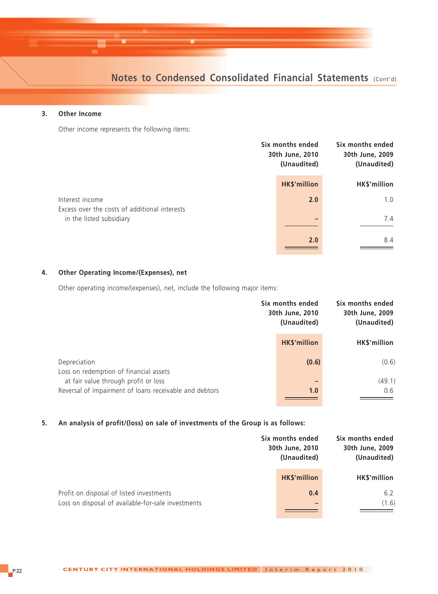#### **3. Other Income**

Other income represents the following items:

|                                                                  | Six months ended<br>30th June, 2010<br>(Unaudited) | Six months ended<br>30th June, 2009<br>(Unaudited) |
|------------------------------------------------------------------|----------------------------------------------------|----------------------------------------------------|
|                                                                  | <b>HK\$'million</b>                                | HK\$'million                                       |
| Interest income<br>Excess over the costs of additional interests | 2.0                                                | 1.0                                                |
| in the listed subsidiary                                         |                                                    | 7.4                                                |
|                                                                  | 2.0                                                | 8.4                                                |

#### **4. Other Operating Income/(Expenses), net**

Other operating income/(expenses), net, include the following major items:

|                                                                                                | Six months ended<br>30th June, 2010<br>(Unaudited) | Six months ended<br>30th June, 2009<br>(Unaudited) |
|------------------------------------------------------------------------------------------------|----------------------------------------------------|----------------------------------------------------|
|                                                                                                | <b>HK\$'million</b>                                | HK\$'million                                       |
| Depreciation<br>Loss on redemption of financial assets                                         | (0.6)                                              | (0.6)                                              |
| at fair value through profit or loss<br>Reversal of impairment of loans receivable and debtors | -<br>1.0                                           | (49.1)<br>0.6                                      |

**5. An analysis of profit/(loss) on sale of investments of the Group is as follows:**

|                                                                                                | Six months ended<br>30th June, 2010<br>(Unaudited) | Six months ended<br>30th June, 2009<br>(Unaudited) |
|------------------------------------------------------------------------------------------------|----------------------------------------------------|----------------------------------------------------|
|                                                                                                | <b>HK\$'million</b>                                | HK\$'million                                       |
| Profit on disposal of listed investments<br>Loss on disposal of available-for-sale investments | 0.4                                                | 6.2<br>(1.6)                                       |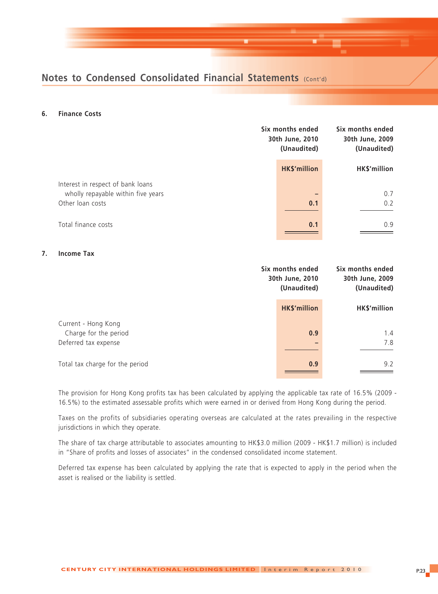#### **6. Finance Costs**

|                                                                         | Six months ended<br>30th June, 2010<br>(Unaudited) | Six months ended<br>30th June, 2009<br>(Unaudited) |
|-------------------------------------------------------------------------|----------------------------------------------------|----------------------------------------------------|
|                                                                         | <b>HK\$'million</b>                                | HK\$'million                                       |
| Interest in respect of bank loans<br>wholly repayable within five years |                                                    | 0.7                                                |
| Other loan costs                                                        | 0.1                                                | 0.2                                                |
| Total finance costs                                                     | 0.1                                                | 0.9                                                |

#### **7. Income Tax**

|                                              | Six months ended<br>30th June, 2010<br>(Unaudited) |              |
|----------------------------------------------|----------------------------------------------------|--------------|
|                                              | <b>HK\$'million</b>                                | HK\$'million |
| Current - Hong Kong<br>Charge for the period | 0.9                                                | 1.4          |
| Deferred tax expense                         |                                                    | 7.8          |
| Total tax charge for the period              | 0.9                                                | 9.2          |

The provision for Hong Kong profits tax has been calculated by applying the applicable tax rate of 16.5% (2009 - 16.5%) to the estimated assessable profits which were earned in or derived from Hong Kong during the period.

Taxes on the profits of subsidiaries operating overseas are calculated at the rates prevailing in the respective jurisdictions in which they operate.

The share of tax charge attributable to associates amounting to HK\$3.0 million (2009 - HK\$1.7 million) is included in "Share of profits and losses of associates" in the condensed consolidated income statement.

Deferred tax expense has been calculated by applying the rate that is expected to apply in the period when the asset is realised or the liability is settled.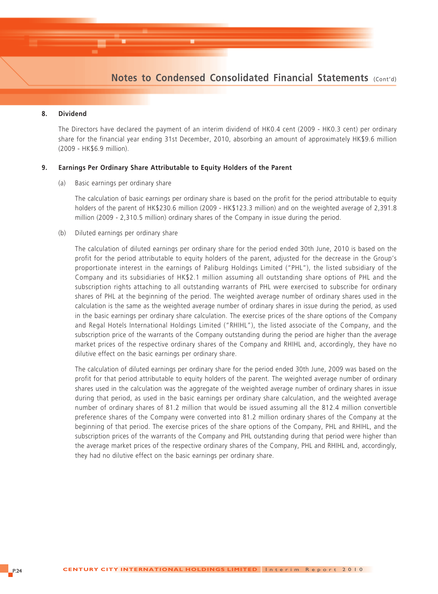#### **8. Dividend**

The Directors have declared the payment of an interim dividend of HK0.4 cent (2009 - HK0.3 cent) per ordinary share for the financial year ending 31st December, 2010, absorbing an amount of approximately HK\$9.6 million (2009 - HK\$6.9 million).

#### **9. Earnings Per Ordinary Share Attributable to Equity Holders of the Parent**

(a) Basic earnings per ordinary share

The calculation of basic earnings per ordinary share is based on the profit for the period attributable to equity holders of the parent of HK\$230.6 million (2009 - HK\$123.3 million) and on the weighted average of 2,391.8 million (2009 - 2,310.5 million) ordinary shares of the Company in issue during the period.

(b) Diluted earnings per ordinary share

The calculation of diluted earnings per ordinary share for the period ended 30th June, 2010 is based on the profit for the period attributable to equity holders of the parent, adjusted for the decrease in the Group's proportionate interest in the earnings of Paliburg Holdings Limited ("PHL"), the listed subsidiary of the Company and its subsidiaries of HK\$2.1 million assuming all outstanding share options of PHL and the subscription rights attaching to all outstanding warrants of PHL were exercised to subscribe for ordinary shares of PHL at the beginning of the period. The weighted average number of ordinary shares used in the calculation is the same as the weighted average number of ordinary shares in issue during the period, as used in the basic earnings per ordinary share calculation. The exercise prices of the share options of the Company and Regal Hotels International Holdings Limited ("RHIHL"), the listed associate of the Company, and the subscription price of the warrants of the Company outstanding during the period are higher than the average market prices of the respective ordinary shares of the Company and RHIHL and, accordingly, they have no dilutive effect on the basic earnings per ordinary share.

The calculation of diluted earnings per ordinary share for the period ended 30th June, 2009 was based on the profit for that period attributable to equity holders of the parent. The weighted average number of ordinary shares used in the calculation was the aggregate of the weighted average number of ordinary shares in issue during that period, as used in the basic earnings per ordinary share calculation, and the weighted average number of ordinary shares of 81.2 million that would be issued assuming all the 812.4 million convertible preference shares of the Company were converted into 81.2 million ordinary shares of the Company at the beginning of that period. The exercise prices of the share options of the Company, PHL and RHIHL, and the subscription prices of the warrants of the Company and PHL outstanding during that period were higher than the average market prices of the respective ordinary shares of the Company, PHL and RHIHL and, accordingly, they had no dilutive effect on the basic earnings per ordinary share.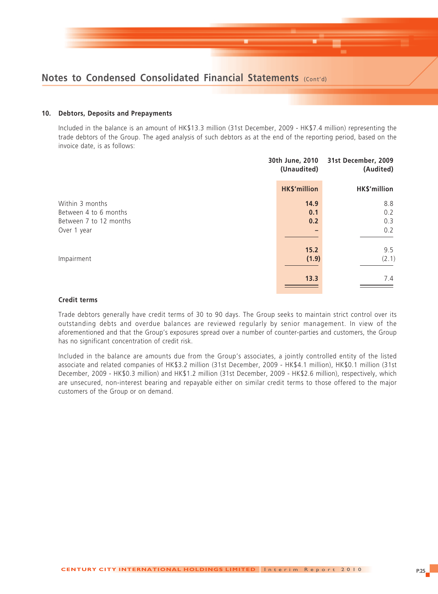

#### **10. Debtors, Deposits and Prepayments**

Included in the balance is an amount of HK\$13.3 million (31st December, 2009 - HK\$7.4 million) representing the trade debtors of the Group. The aged analysis of such debtors as at the end of the reporting period, based on the invoice date, is as follows:

| 30th June, 2010<br>(Unaudited) | 31st December, 2009<br>(Audited) |
|--------------------------------|----------------------------------|
| <b>HK\$'million</b>            | HK\$'million                     |
| 14.9                           | 8.8                              |
| 0.1                            | 0.2                              |
| 0.2                            | 0.3                              |
|                                | 0.2                              |
| 15.2                           | 9.5                              |
| (1.9)                          | (2.1)                            |
| 13.3                           | 7.4                              |
|                                |                                  |

#### **Credit terms**

Trade debtors generally have credit terms of 30 to 90 days. The Group seeks to maintain strict control over its outstanding debts and overdue balances are reviewed regularly by senior management. In view of the aforementioned and that the Group's exposures spread over a number of counter-parties and customers, the Group has no significant concentration of credit risk.

Included in the balance are amounts due from the Group's associates, a jointly controlled entity of the listed associate and related companies of HK\$3.2 million (31st December, 2009 - HK\$4.1 million), HK\$0.1 million (31st December, 2009 - HK\$0.3 million) and HK\$1.2 million (31st December, 2009 - HK\$2.6 million), respectively, which are unsecured, non-interest bearing and repayable either on similar credit terms to those offered to the major customers of the Group or on demand.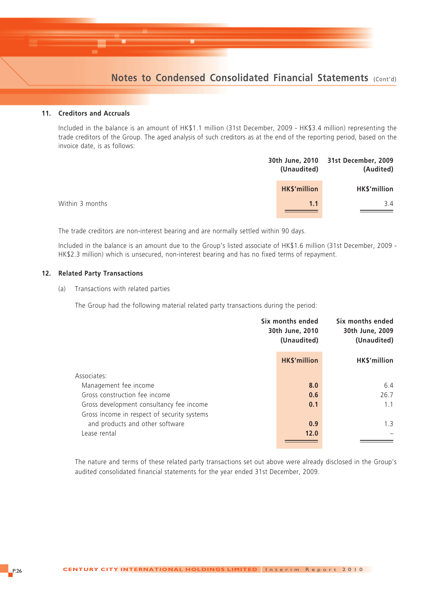#### **11. Creditors and Accruals**

Included in the balance is an amount of HK\$1.1 million (31st December, 2009 - HK\$3.4 million) representing the trade creditors of the Group. The aged analysis of such creditors as at the end of the reporting period, based on the invoice date, is as follows:

| (Unaudited)         | 30th June, 2010 31st December, 2009<br>(Audited) |
|---------------------|--------------------------------------------------|
| <b>HK\$'million</b> | HK\$'million                                     |
| 1.1                 | 3.4                                              |
|                     |                                                  |

The trade creditors are non-interest bearing and are normally settled within 90 days.

Included in the balance is an amount due to the Group's listed associate of HK\$1.6 million (31st December, 2009 - HK\$2.3 million) which is unsecured, non-interest bearing and has no fixed terms of repayment.

#### **12. Related Party Transactions**

(a) Transactions with related parties

The Group had the following material related party transactions during the period:

|                                             | Six months ended<br>30th June, 2010<br>(Unaudited) | Six months ended<br>30th June, 2009<br>(Unaudited) |
|---------------------------------------------|----------------------------------------------------|----------------------------------------------------|
|                                             | <b>HK\$'million</b>                                | HK\$'million                                       |
| Associates:                                 |                                                    |                                                    |
| Management fee income                       | 8.0                                                | 6.4                                                |
| Gross construction fee income               | 0.6                                                | 26.7                                               |
| Gross development consultancy fee income    | 0.1                                                | 1.1                                                |
| Gross income in respect of security systems |                                                    |                                                    |
| and products and other software             | 0.9                                                | 1.3                                                |
| Lease rental                                | 12.0                                               |                                                    |
|                                             |                                                    |                                                    |

The nature and terms of these related party transactions set out above were already disclosed in the Group's audited consolidated financial statements for the year ended 31st December, 2009.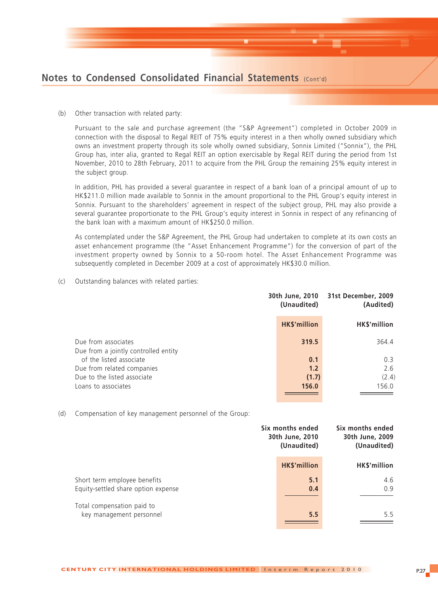

(b) Other transaction with related party:

Pursuant to the sale and purchase agreement (the "S&P Agreement") completed in October 2009 in connection with the disposal to Regal REIT of 75% equity interest in a then wholly owned subsidiary which owns an investment property through its sole wholly owned subsidiary, Sonnix Limited ("Sonnix"), the PHL Group has, inter alia, granted to Regal REIT an option exercisable by Regal REIT during the period from 1st November, 2010 to 28th February, 2011 to acquire from the PHL Group the remaining 25% equity interest in the subject group.

In addition, PHL has provided a several guarantee in respect of a bank loan of a principal amount of up to HK\$211.0 million made available to Sonnix in the amount proportional to the PHL Group's equity interest in Sonnix. Pursuant to the shareholders' agreement in respect of the subject group, PHL may also provide a several guarantee proportionate to the PHL Group's equity interest in Sonnix in respect of any refinancing of the bank loan with a maximum amount of HK\$250.0 million.

As contemplated under the S&P Agreement, the PHL Group had undertaken to complete at its own costs an asset enhancement programme (the "Asset Enhancement Programme") for the conversion of part of the investment property owned by Sonnix to a 50-room hotel. The Asset Enhancement Programme was subsequently completed in December 2009 at a cost of approximately HK\$30.0 million.

(c) Outstanding balances with related parties:

|                                                             | (Unaudited)         | 30th June, 2010 31st December, 2009<br>(Audited) |
|-------------------------------------------------------------|---------------------|--------------------------------------------------|
|                                                             | <b>HK\$'million</b> | HK\$'million                                     |
| Due from associates<br>Due from a jointly controlled entity | 319.5               | 364.4                                            |
| of the listed associate                                     | 0.1                 | 0.3                                              |
| Due from related companies                                  | 1.2                 | 2.6                                              |
| Due to the listed associate                                 | (1.7)               | (2.4)                                            |
| Loans to associates                                         | 156.0               | 156.0                                            |
|                                                             |                     |                                                  |

(d) Compensation of key management personnel of the Group:

|                                                                     | Six months ended<br>30th June, 2010<br>(Unaudited) | Six months ended<br>30th June, 2009<br>(Unaudited) |
|---------------------------------------------------------------------|----------------------------------------------------|----------------------------------------------------|
|                                                                     | <b>HK\$'million</b>                                | HK\$'million                                       |
| Short term employee benefits<br>Equity-settled share option expense | 5.1<br>0.4                                         | 4.6<br>0.9                                         |
| Total compensation paid to<br>key management personnel              | 5.5                                                | 5.5                                                |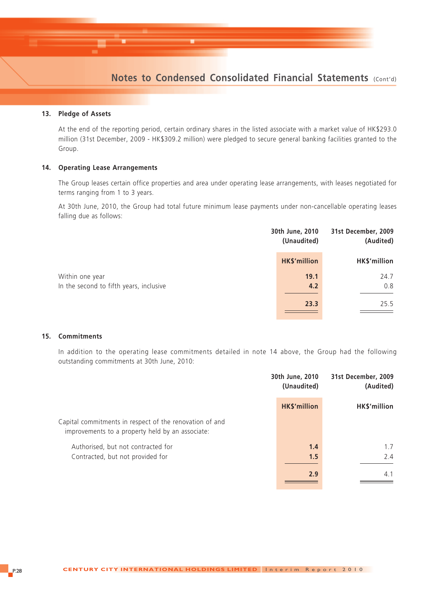#### **13. Pledge of Assets**

At the end of the reporting period, certain ordinary shares in the listed associate with a market value of HK\$293.0 million (31st December, 2009 - HK\$309.2 million) were pledged to secure general banking facilities granted to the Group.

#### **14. Operating Lease Arrangements**

The Group leases certain office properties and area under operating lease arrangements, with leases negotiated for terms ranging from 1 to 3 years.

At 30th June, 2010, the Group had total future minimum lease payments under non-cancellable operating leases falling due as follows:

|                                         | 30th June, 2010<br>(Unaudited) | 31st December, 2009<br>(Audited) |
|-----------------------------------------|--------------------------------|----------------------------------|
|                                         | <b>HK\$'million</b>            | HK\$'million                     |
| Within one year                         | 19.1                           | 24.7                             |
| In the second to fifth years, inclusive | 4.2                            | 0.8                              |
|                                         | 23.3                           | 25.5                             |

#### **15. Commitments**

In addition to the operating lease commitments detailed in note 14 above, the Group had the following outstanding commitments at 30th June, 2010:

|                                                                                                             | 30th June, 2010<br>(Unaudited) | 31st December, 2009<br>(Audited) |
|-------------------------------------------------------------------------------------------------------------|--------------------------------|----------------------------------|
|                                                                                                             | <b>HK\$'million</b>            | HK\$'million                     |
| Capital commitments in respect of the renovation of and<br>improvements to a property held by an associate: |                                |                                  |
| Authorised, but not contracted for                                                                          | 1.4                            | 1.7                              |
| Contracted, but not provided for                                                                            | 1.5                            | 2.4                              |
|                                                                                                             | 2.9                            | 4.1                              |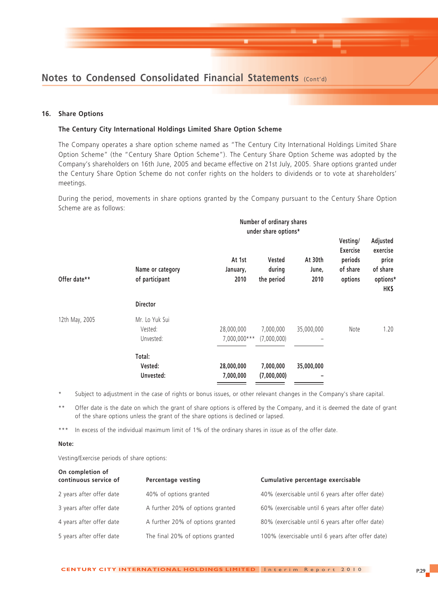

#### **16. Share Options**

#### **The Century City International Holdings Limited Share Option Scheme**

The Company operates a share option scheme named as "The Century City International Holdings Limited Share Option Scheme" (the "Century Share Option Scheme"). The Century Share Option Scheme was adopted by the Company's shareholders on 16th June, 2005 and became effective on 21st July, 2005. Share options granted under the Century Share Option Scheme do not confer rights on the holders to dividends or to vote at shareholders' meetings.

During the period, movements in share options granted by the Company pursuant to the Century Share Option Scheme are as follows:

|                |                                        | Number of ordinary shares<br>under share options* |                                |                          |                                                               |                                                               |  |  |
|----------------|----------------------------------------|---------------------------------------------------|--------------------------------|--------------------------|---------------------------------------------------------------|---------------------------------------------------------------|--|--|
| Offer date**   | Name or category<br>of participant     | At 1st<br>January,<br>2010                        | Vested<br>during<br>the period | At 30th<br>June,<br>2010 | Vesting/<br><b>Exercise</b><br>periods<br>of share<br>options | Adjusted<br>exercise<br>price<br>of share<br>options*<br>HK\$ |  |  |
|                | <b>Director</b>                        |                                                   |                                |                          |                                                               |                                                               |  |  |
| 12th May, 2005 | Mr. Lo Yuk Sui<br>Vested:<br>Unvested: | 28,000,000<br>7,000,000***                        | 7,000,000<br>(7,000,000)       | 35,000,000               | Note                                                          | 1.20                                                          |  |  |
|                | Total:<br>Vested:<br>Unvested:         | 28,000,000<br>7,000,000                           | 7,000,000<br>(7,000,000)       | 35,000,000<br>-          |                                                               |                                                               |  |  |

Subject to adjustment in the case of rights or bonus issues, or other relevant changes in the Company's share capital.

\*\* Offer date is the date on which the grant of share options is offered by the Company, and it is deemed the date of grant of the share options unless the grant of the share options is declined or lapsed.

\*\*\* In excess of the individual maximum limit of 1% of the ordinary shares in issue as of the offer date.

#### **Note:**

Vesting/Exercise periods of share options:

| On completion of<br>continuous service of | <b>Percentage vesting</b>        | Cumulative percentage exercisable                 |
|-------------------------------------------|----------------------------------|---------------------------------------------------|
| 2 years after offer date                  | 40% of options granted           | 40% (exercisable until 6 years after offer date)  |
| 3 years after offer date                  | A further 20% of options granted | 60% (exercisable until 6 years after offer date)  |
| 4 years after offer date                  | A further 20% of options granted | 80% (exercisable until 6 years after offer date)  |
| 5 years after offer date                  | The final 20% of options granted | 100% (exercisable until 6 years after offer date) |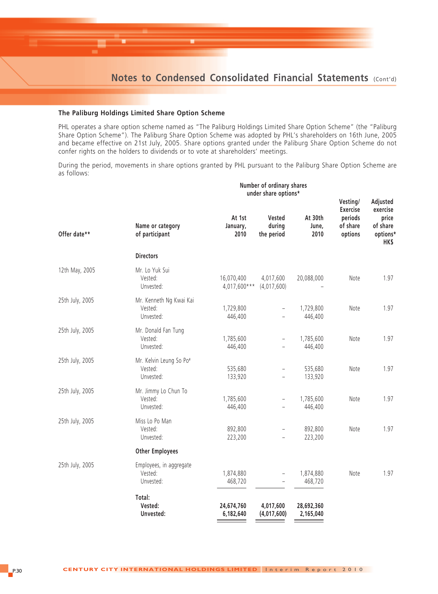#### **The Paliburg Holdings Limited Share Option Scheme**

PHL operates a share option scheme named as "The Paliburg Holdings Limited Share Option Scheme" (the "Paliburg Share Option Scheme"). The Paliburg Share Option Scheme was adopted by PHL's shareholders on 16th June, 2005 and became effective on 21st July, 2005. Share options granted under the Paliburg Share Option Scheme do not confer rights on the holders to dividends or to vote at shareholders' meetings.

During the period, movements in share options granted by PHL pursuant to the Paliburg Share Option Scheme are as follows:

|                 | Number of ordinary shares<br>under share options* |                              |                                |                          |                                                               |                                                               |
|-----------------|---------------------------------------------------|------------------------------|--------------------------------|--------------------------|---------------------------------------------------------------|---------------------------------------------------------------|
| Offer date**    | Name or category<br>of participant                | At 1st<br>January,<br>2010   | Vested<br>during<br>the period | At 30th<br>June,<br>2010 | Vesting/<br><b>Exercise</b><br>periods<br>of share<br>options | Adjusted<br>exercise<br>price<br>of share<br>options*<br>HK\$ |
|                 | <b>Directors</b>                                  |                              |                                |                          |                                                               |                                                               |
| 12th May, 2005  | Mr. Lo Yuk Sui<br>Vested:<br>Unvested:            | 16,070,400<br>$4,017,600***$ | 4,017,600<br>(4,017,600)       | 20,088,000               | Note                                                          | 1.97                                                          |
| 25th July, 2005 | Mr. Kenneth Ng Kwai Kai<br>Vested:<br>Unvested:   | 1,729,800<br>446,400         | $\overline{\phantom{0}}$       | 1,729,800<br>446,400     | Note                                                          | 1.97                                                          |
| 25th July, 2005 | Mr. Donald Fan Tung<br>Vested:<br>Unvested:       | 1,785,600<br>446,400         | $\overline{\phantom{0}}$       | 1,785,600<br>446,400     | Note                                                          | 1.97                                                          |
| 25th July, 2005 | Mr. Kelvin Leung So Po#<br>Vested:<br>Unvested:   | 535,680<br>133,920           | $\overline{a}$                 | 535,680<br>133,920       | Note                                                          | 1.97                                                          |
| 25th July, 2005 | Mr. Jimmy Lo Chun To<br>Vested:<br>Unvested:      | 1,785,600<br>446,400         | $\qquad \qquad -$              | 1,785,600<br>446,400     | Note                                                          | 1.97                                                          |
| 25th July, 2005 | Miss Lo Po Man<br>Vested:<br>Unvested:            | 892,800<br>223,200           | $\overline{a}$                 | 892,800<br>223,200       | Note                                                          | 1.97                                                          |
|                 | <b>Other Employees</b>                            |                              |                                |                          |                                                               |                                                               |
| 25th July, 2005 | Employees, in aggregate<br>Vested:<br>Unvested:   | 1,874,880<br>468,720         | $\overline{\phantom{a}}$       | 1,874,880<br>468,720     | Note                                                          | 1.97                                                          |
|                 | Total:<br>Vested:<br>Unvested:                    | 24,674,760<br>6,182,640      | 4,017,600<br>(4,017,600)       | 28,692,360<br>2,165,040  |                                                               |                                                               |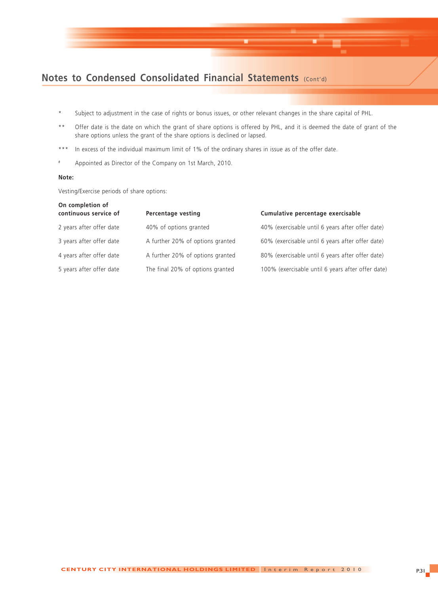

- \* Subject to adjustment in the case of rights or bonus issues, or other relevant changes in the share capital of PHL.
- \*\* Offer date is the date on which the grant of share options is offered by PHL, and it is deemed the date of grant of the share options unless the grant of the share options is declined or lapsed.
- \*\*\* In excess of the individual maximum limit of 1% of the ordinary shares in issue as of the offer date.
- # Appointed as Director of the Company on 1st March, 2010.

#### **Note:**

Vesting/Exercise periods of share options:

| Percentage vesting               | Cumulative percentage exercisable                 |
|----------------------------------|---------------------------------------------------|
| 40% of options granted           | 40% (exercisable until 6 years after offer date)  |
| A further 20% of options granted | 60% (exercisable until 6 years after offer date)  |
| A further 20% of options granted | 80% (exercisable until 6 years after offer date)  |
| The final 20% of options granted | 100% (exercisable until 6 years after offer date) |
|                                  |                                                   |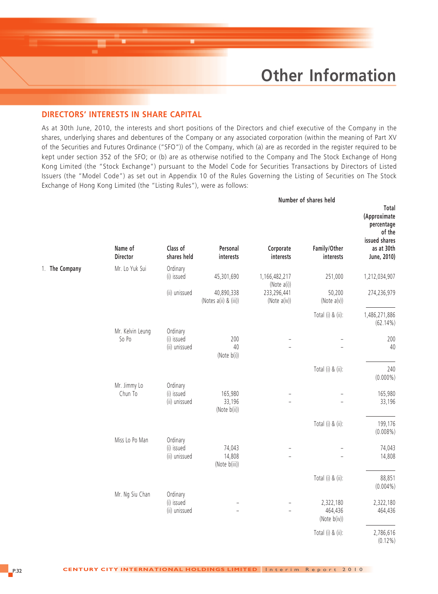## **Other Information**

#### **DIRECTORS' INTERESTS IN SHARE CAPITAL**

As at 30th June, 2010, the interests and short positions of the Directors and chief executive of the Company in the shares, underlying shares and debentures of the Company or any associated corporation (within the meaning of Part XV of the Securities and Futures Ordinance ("SFO")) of the Company, which (a) are as recorded in the register required to be kept under section 352 of the SFO; or (b) are as otherwise notified to the Company and The Stock Exchange of Hong Kong Limited (the "Stock Exchange") pursuant to the Model Code for Securities Transactions by Directors of Listed Issuers (the "Model Code") as set out in Appendix 10 of the Rules Governing the Listing of Securities on The Stock Exchange of Hong Kong Limited (the "Listing Rules"), were as follows:

|                |                            |                                         |                                     |                              | Number of shares held                |                                                                                             |
|----------------|----------------------------|-----------------------------------------|-------------------------------------|------------------------------|--------------------------------------|---------------------------------------------------------------------------------------------|
|                | Name of<br><b>Director</b> | Class of<br>shares held                 | Personal<br>interests               | Corporate<br>interests       | Family/Other<br>interests            | Total<br>(Approximate<br>percentage<br>of the<br>issued shares<br>as at 30th<br>June, 2010) |
|                |                            |                                         |                                     |                              |                                      |                                                                                             |
| 1. The Company | Mr. Lo Yuk Sui             | Ordinary<br>(i) issued                  | 45,301,690                          | 1,166,482,217<br>(Note a(i)) | 251,000                              | 1,212,034,907                                                                               |
|                |                            | (ii) unissued                           | 40,890,338<br>(Notes a(ii) & (iii)) | 233,296,441<br>(Note a(iv))  | 50,200<br>(Note a(v))                | 274,236,979                                                                                 |
|                |                            |                                         |                                     |                              | Total (i) & (ii):                    | 1,486,271,886<br>$(62.14\%)$                                                                |
|                | Mr. Kelvin Leung<br>So Po  | Ordinary<br>(i) issued<br>(ii) unissued | 200<br>40<br>(Note b(i))            | $\qquad \qquad -$            | $\qquad \qquad -$                    | 200<br>40                                                                                   |
|                |                            |                                         |                                     |                              | Total (i) & (ii):                    | 240<br>$(0.000\%)$                                                                          |
|                | Mr. Jimmy Lo<br>Chun To    | Ordinary<br>(i) issued<br>(ii) unissued | 165,980<br>33,196<br>(Note b(ii))   |                              |                                      | 165,980<br>33,196                                                                           |
|                |                            |                                         |                                     |                              | Total (i) & (ii):                    | 199,176<br>$(0.008\%)$                                                                      |
|                | Miss Lo Po Man             | Ordinary<br>(i) issued<br>(ii) unissued | 74,043<br>14,808<br>(Note b(iii))   | L                            |                                      | 74,043<br>14,808                                                                            |
|                |                            |                                         |                                     |                              | Total (i) & (ii):                    | 88,851<br>$(0.004\%)$                                                                       |
|                | Mr. Ng Siu Chan            | Ordinary<br>(i) issued<br>(ii) unissued | $\qquad \qquad -$                   |                              | 2,322,180<br>464,436<br>(Note b(iv)) | 2,322,180<br>464,436                                                                        |
|                |                            |                                         |                                     |                              | Total (i) & (ii):                    | 2,786,616<br>$(0.12\%)$                                                                     |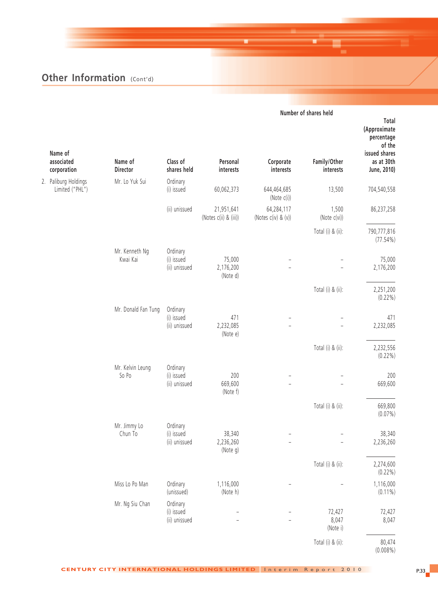|                                         |                            |                                         | Number of shares held               |                                   |                             |                                                                |
|-----------------------------------------|----------------------------|-----------------------------------------|-------------------------------------|-----------------------------------|-----------------------------|----------------------------------------------------------------|
| Name of                                 |                            |                                         |                                     |                                   |                             | Total<br>(Approximate<br>percentage<br>of the<br>issued shares |
| associated<br>corporation               | Name of<br>Director        | Class of<br>shares held                 | Personal<br>interests               | Corporate<br>interests            | Family/Other<br>interests   | as at 30th<br>June, 2010)                                      |
| 2. Paliburg Holdings<br>Limited ("PHL") | Mr. Lo Yuk Sui             | Ordinary<br>(i) issued                  | 60,062,373                          | 644,464,685<br>(Note c(i))        | 13,500                      | 704,540,558                                                    |
|                                         |                            | (ii) unissued                           | 21,951,641<br>(Notes c(ii) & (iii)) | 64,284,117<br>(Notes c(iv) & (v)) | 1,500<br>(Note c(vi))       | 86,237,258                                                     |
|                                         |                            |                                         |                                     |                                   | Total (i) & (ii):           | 790,777,816<br>$(77.54\%)$                                     |
|                                         | Mr. Kenneth Ng<br>Kwai Kai | Ordinary<br>(i) issued<br>(ii) unissued | 75,000<br>2,176,200<br>(Note d)     |                                   | $\overline{a}$              | 75,000<br>2,176,200                                            |
|                                         |                            |                                         |                                     |                                   | Total (i) & (ii):           | 2,251,200<br>$(0.22\%)$                                        |
|                                         | Mr. Donald Fan Tung        | Ordinary<br>(i) issued<br>(ii) unissued | 471<br>2,232,085<br>(Note e)        |                                   |                             | 471<br>2,232,085                                               |
|                                         |                            |                                         |                                     |                                   | Total (i) & (ii):           | 2,232,556<br>$(0.22\%)$                                        |
|                                         | Mr. Kelvin Leung<br>So Po  | Ordinary<br>(i) issued<br>(ii) unissued | 200<br>669,600<br>(Note f)          |                                   |                             | 200<br>669,600                                                 |
|                                         |                            |                                         |                                     |                                   | Total (i) & (ii):           | 669,800<br>$(0.07\%)$                                          |
|                                         | Mr. Jimmy Lo<br>Chun To    | Ordinary<br>(i) issued<br>(ii) unissued | 38,340<br>2,236,260<br>(Note g)     | $\overline{\phantom{0}}$          | $\overline{\phantom{0}}$    | 38,340<br>2,236,260                                            |
|                                         |                            |                                         |                                     |                                   | Total (i) & (ii):           | 2,274,600<br>$(0.22\%)$                                        |
|                                         | Miss Lo Po Man             | Ordinary<br>(unissued)                  | 1,116,000<br>(Note h)               |                                   |                             | 1,116,000<br>$(0.11\%)$                                        |
|                                         | Mr. Ng Siu Chan            | Ordinary<br>(i) issued<br>(ii) unissued | $\overline{\phantom{0}}$            |                                   | 72,427<br>8,047<br>(Note i) | 72,427<br>8,047                                                |
|                                         |                            |                                         |                                     |                                   | Total (i) & (ii):           | 80,474<br>$(0.008\%)$                                          |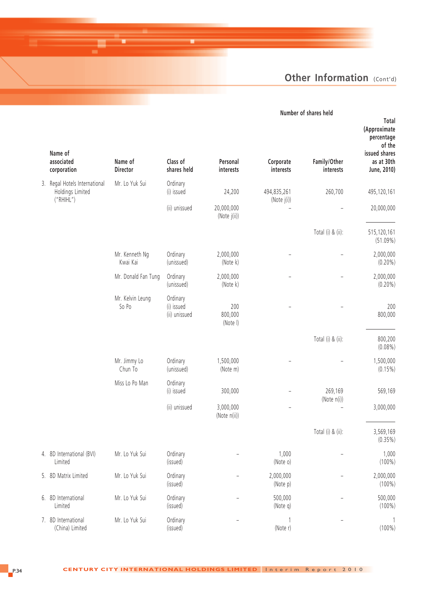| Number of shares held |  |  |
|-----------------------|--|--|
|                       |  |  |

| Name of<br>associated<br>corporation                          | Name of<br>Director        | Class of<br>shares held                 | Personal<br>interests      | Corporate<br>interests     | Family/Other<br>interests | Total<br>(Approximate<br>percentage<br>of the<br>issued shares<br>as at 30th<br>June, 2010) |
|---------------------------------------------------------------|----------------------------|-----------------------------------------|----------------------------|----------------------------|---------------------------|---------------------------------------------------------------------------------------------|
| 3. Regal Hotels International<br>Holdings Limited<br>("RHHL") | Mr. Lo Yuk Sui             | Ordinary<br>(i) issued                  | 24,200                     | 494,835,261<br>(Note j(i)) | 260,700                   | 495,120,161                                                                                 |
|                                                               |                            | (ii) unissued                           | 20,000,000<br>(Note j(ii)) |                            |                           | 20,000,000                                                                                  |
|                                                               |                            |                                         |                            |                            | Total (i) & (ii):         | 515,120,161<br>(51.09%)                                                                     |
|                                                               | Mr. Kenneth Ng<br>Kwai Kai | Ordinary<br>(unissued)                  | 2,000,000<br>(Note k)      |                            |                           | 2,000,000<br>$(0.20\%)$                                                                     |
|                                                               | Mr. Donald Fan Tung        | Ordinary<br>(unissued)                  | 2,000,000<br>(Note k)      |                            |                           | 2,000,000<br>$(0.20\%)$                                                                     |
|                                                               | Mr. Kelvin Leung<br>So Po  | Ordinary<br>(i) issued<br>(ii) unissued | 200<br>800,000<br>(Note I) |                            |                           | 200<br>800,000                                                                              |
|                                                               |                            |                                         |                            |                            | Total (i) & (ii):         | 800,200<br>$(0.08\%)$                                                                       |
|                                                               | Mr. Jimmy Lo<br>Chun To    | Ordinary<br>(unissued)                  | 1,500,000<br>(Note m)      |                            |                           | 1,500,000<br>$(0.15\%)$                                                                     |
|                                                               | Miss Lo Po Man             | Ordinary<br>(i) issued                  | 300,000                    |                            | 269,169<br>(Note n(i))    | 569,169                                                                                     |
|                                                               |                            | (ii) unissued                           | 3,000,000<br>(Note n(ii))  | $\overline{a}$             |                           | 3,000,000                                                                                   |
|                                                               |                            |                                         |                            |                            | Total (i) & (ii):         | 3,569,169<br>$(0.35\%)$                                                                     |
| 4. 8D International (BVI)<br>Limited                          | Mr. Lo Yuk Sui             | Ordinary<br>(issued)                    | $\overline{a}$             | 1,000<br>(Note o)          | $\qquad \qquad -$         | 1,000<br>$(100\%)$                                                                          |
| 5. 8D Matrix Limited                                          | Mr. Lo Yuk Sui             | Ordinary<br>(issued)                    |                            | 2,000,000<br>(Note p)      |                           | 2,000,000<br>$(100\%)$                                                                      |
| 6. 8D International<br>Limited                                | Mr. Lo Yuk Sui             | Ordinary<br>(issued)                    |                            | 500,000<br>(Note q)        |                           | 500,000<br>$(100\%)$                                                                        |
| 7. 8D International<br>(China) Limited                        | Mr. Lo Yuk Sui             | Ordinary<br>(issued)                    |                            | 1<br>(Note r)              |                           | $\mathbf{1}$<br>$(100\%)$                                                                   |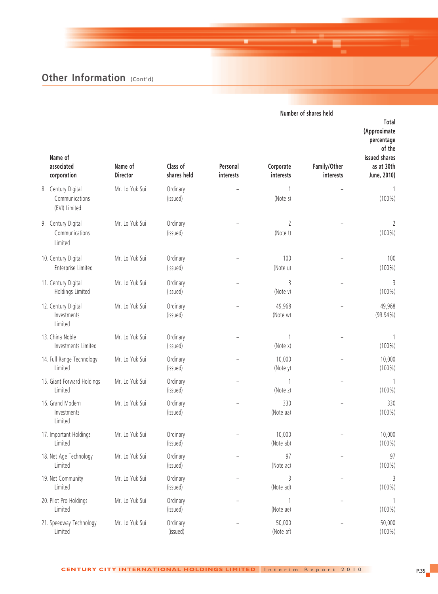|                                                       |                |                      |           |                             | Number of shares held |                                                                              |
|-------------------------------------------------------|----------------|----------------------|-----------|-----------------------------|-----------------------|------------------------------------------------------------------------------|
| Name of<br>associated                                 | Name of        | Class of             | Personal  | Corporate                   | Family/Other          | Total<br>(Approximate<br>percentage<br>of the<br>issued shares<br>as at 30th |
| corporation                                           | Director       | shares held          | interests | interests                   | interests             | June, 2010)                                                                  |
| 8. Century Digital<br>Communications<br>(BVI) Limited | Mr. Lo Yuk Sui | Ordinary<br>(issued) |           | $\mathbf{1}$<br>(Note s)    |                       | 1<br>$(100\%)$                                                               |
| 9. Century Digital<br>Communications<br>Limited       | Mr. Lo Yuk Sui | Ordinary<br>(issued) |           | $\overline{2}$<br>(Note t)  |                       | 2<br>$(100\%)$                                                               |
| 10. Century Digital<br>Enterprise Limited             | Mr. Lo Yuk Sui | Ordinary<br>(issued) |           | 100<br>(Note u)             |                       | 100<br>$(100\%)$                                                             |
| 11. Century Digital<br>Holdings Limited               | Mr. Lo Yuk Sui | Ordinary<br>(issued) |           | 3<br>(Note v)               |                       | 3<br>$(100\%)$                                                               |
| 12. Century Digital<br>Investments<br>Limited         | Mr. Lo Yuk Sui | Ordinary<br>(issued) |           | 49,968<br>(Note w)          |                       | 49,968<br>$(99.94\%)$                                                        |
| 13. China Noble<br>Investments Limited                | Mr. Lo Yuk Sui | Ordinary<br>(issued) |           | (Note x)                    |                       | $(100\%)$                                                                    |
| 14. Full Range Technology<br>Limited                  | Mr. Lo Yuk Sui | Ordinary<br>(issued) |           | 10,000<br>(Note y)          |                       | 10,000<br>$(100\%)$                                                          |
| 15. Giant Forward Holdings<br>Limited                 | Mr. Lo Yuk Sui | Ordinary<br>(issued) |           | 1<br>(Note z)               |                       | 1<br>$(100\%)$                                                               |
| 16. Grand Modern<br>Investments<br>Limited            | Mr. Lo Yuk Sui | Ordinary<br>(issued) |           | 330<br>(Note aa)            |                       | 330<br>$(100\%)$                                                             |
| 17. Important Holdings<br>Limited                     | Mr. Lo Yuk Sui | Ordinary<br>(issued) |           | 10,000<br>(Note ab)         |                       | 10,000<br>$(100\%)$                                                          |
| 18. Net Age Technology<br>Limited                     | Mr. Lo Yuk Sui | Ordinary<br>(issued) |           | 97<br>(Note ac)             |                       | 97<br>$(100\%)$                                                              |
| 19. Net Community<br>Limited                          | Mr. Lo Yuk Sui | Ordinary<br>(issued) |           | $\mathfrak{Z}$<br>(Note ad) |                       | 3<br>$(100\%)$                                                               |
| 20. Pilot Pro Holdings<br>Limited                     | Mr. Lo Yuk Sui | Ordinary<br>(issued) |           | (Note ae)                   |                       | 1<br>$(100\%)$                                                               |
| 21. Speedway Technology<br>Limited                    | Mr. Lo Yuk Sui | Ordinary<br>(issued) |           | 50,000<br>(Note af)         |                       | 50,000<br>$(100\%)$                                                          |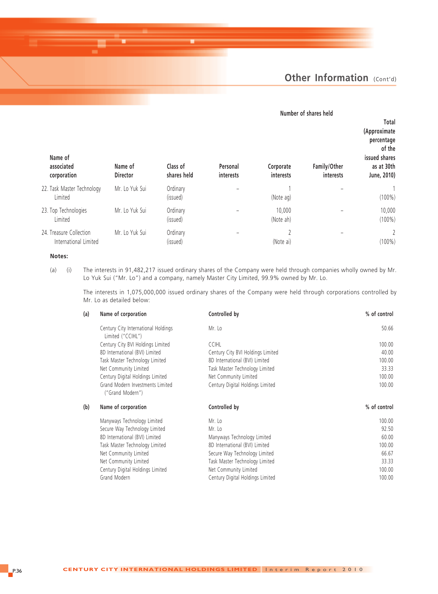#### **Number of shares held Total (Approximate percentage of the Name of issued shares associated Name of Class of Personal Corporate Family/Other as at 30th corporation Director shares held interests interests interests June, 2010)** 22. Task Master Technology Mr. Lo Yuk Sui Ordinary – 1 – 1 Limited (issued) (Note ag) (100%) 23. Top Technologies Mr. Lo Yuk Sui Ordinary – 10,000 – 10,000 Limited (issued) (Note ah) (100%) 24. Treasure Collection Mr. Lo Yuk Sui Ordinary – 2 – 2 – 2 – 2 – 2 2 – 2 – 2 2 – 2 2 – 2 2 – 2 2 – 2 2 – 2 2 – 2 2 – 2 2 – 2 2 – 2 2 – 2 2 – 2 2 – 2 2 – 2 2 – 2 2 – 2 2 – 2 2 – 2 – 2 2 – 2 – 2 2 – 2 – 2 – 2 – 2 – 2 – 2 – International Limited (issued) (Note ai) (100%)

#### **Notes:**

(a) (i) The interests in 91,482,217 issued ordinary shares of the Company were held through companies wholly owned by Mr. Lo Yuk Sui ("Mr. Lo") and a company, namely Master City Limited, 99.9% owned by Mr. Lo.

The interests in 1,075,000,000 issued ordinary shares of the Company were held through corporations controlled by Mr. Lo as detailed below:

| (a) | Name of corporation                                      | Controlled by                     | % of control |
|-----|----------------------------------------------------------|-----------------------------------|--------------|
|     | Century City International Holdings<br>Limited ("CCIHL") | Mr. Lo                            | 50.66        |
|     | Century City BVI Holdings Limited                        | <b>CCIHL</b>                      | 100.00       |
|     | 8D International (BVI) Limited                           | Century City BVI Holdings Limited | 40.00        |
|     | Task Master Technology Limited                           | 8D International (BVI) Limited    | 100.00       |
|     | Net Community Limited                                    | Task Master Technology Limited    | 33.33        |
|     | Century Digital Holdings Limited                         | Net Community Limited             | 100.00       |
|     | Grand Modern Investments Limited<br>("Grand Modern")     | Century Digital Holdings Limited  | 100.00       |
| (b) | Name of corporation                                      | Controlled by                     | % of control |
|     | Manyways Technology Limited                              | Mr. Lo                            | 100.00       |
|     | Secure Way Technology Limited                            | Mr. Lo                            | 92.50        |
|     | 8D International (BVI) Limited                           | Manyways Technology Limited       | 60.00        |
|     | Task Master Technology Limited                           | 8D International (BVI) Limited    | 100.00       |
|     | Net Community Limited                                    | Secure Way Technology Limited     | 66.67        |
|     | Net Community Limited                                    | Task Master Technology Limited    | 33.33        |
|     | Century Digital Holdings Limited                         | Net Community Limited             | 100.00       |
|     | Grand Modern                                             | Century Digital Holdings Limited  | 100.00       |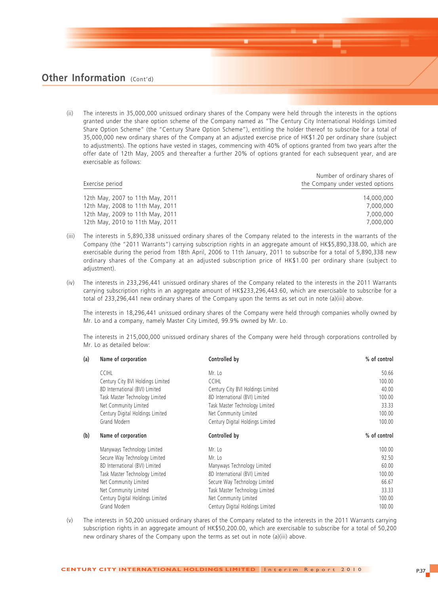(ii) The interests in 35,000,000 unissued ordinary shares of the Company were held through the interests in the options granted under the share option scheme of the Company named as "The Century City International Holdings Limited Share Option Scheme" (the "Century Share Option Scheme"), entitling the holder thereof to subscribe for a total of 35,000,000 new ordinary shares of the Company at an adjusted exercise price of HK\$1.20 per ordinary share (subject to adjustments). The options have vested in stages, commencing with 40% of options granted from two years after the offer date of 12th May, 2005 and thereafter a further 20% of options granted for each subsequent year, and are exercisable as follows:

| Exercise period                  | Number of ordinary shares of<br>the Company under vested options |  |  |
|----------------------------------|------------------------------------------------------------------|--|--|
| 12th May, 2007 to 11th May, 2011 | 14,000,000                                                       |  |  |
| 12th May, 2008 to 11th May, 2011 | 7.000.000                                                        |  |  |
| 12th May, 2009 to 11th May, 2011 | 7.000.000                                                        |  |  |
| 12th May, 2010 to 11th May, 2011 | 7.000.000                                                        |  |  |

- (iii) The interests in 5,890,338 unissued ordinary shares of the Company related to the interests in the warrants of the Company (the "2011 Warrants") carrying subscription rights in an aggregate amount of HK\$5,890,338.00, which are exercisable during the period from 18th April, 2006 to 11th January, 2011 to subscribe for a total of 5,890,338 new ordinary shares of the Company at an adjusted subscription price of HK\$1.00 per ordinary share (subject to adjustment).
- (iv) The interests in 233,296,441 unissued ordinary shares of the Company related to the interests in the 2011 Warrants carrying subscription rights in an aggregate amount of HK\$233,296,443.60, which are exercisable to subscribe for a total of 233,296,441 new ordinary shares of the Company upon the terms as set out in note (a)(iii) above.

The interests in 18,296,441 unissued ordinary shares of the Company were held through companies wholly owned by Mr. Lo and a company, namely Master City Limited, 99.9% owned by Mr. Lo.

The interests in 215,000,000 unissued ordinary shares of the Company were held through corporations controlled by Mr. Lo as detailed below:

| (a) | Name of corporation               | Controlled by                     | % of control |
|-----|-----------------------------------|-----------------------------------|--------------|
|     | <b>CCIHL</b>                      | Mr. Lo                            | 50.66        |
|     | Century City BVI Holdings Limited | <b>CCIHL</b>                      | 100.00       |
|     | 8D International (BVI) Limited    | Century City BVI Holdings Limited | 40.00        |
|     | Task Master Technology Limited    | 8D International (BVI) Limited    | 100.00       |
|     | Net Community Limited             | Task Master Technology Limited    | 33.33        |
|     | Century Digital Holdings Limited  | Net Community Limited             | 100.00       |
|     | Grand Modern                      | Century Digital Holdings Limited  | 100.00       |
| (b) | Name of corporation               | Controlled by                     | % of control |
|     | Manyways Technology Limited       | Mr. Lo                            | 100.00       |
|     | Secure Way Technology Limited     | Mr. Lo                            | 92.50        |
|     | 8D International (BVI) Limited    | Manyways Technology Limited       | 60.00        |
|     | Task Master Technology Limited    | 8D International (BVI) Limited    | 100.00       |
|     | Net Community Limited             | Secure Way Technology Limited     | 66.67        |
|     | Net Community Limited             | Task Master Technology Limited    | 33.33        |
|     | Century Digital Holdings Limited  | Net Community Limited             | 100.00       |
|     | Grand Modern                      | Century Digital Holdings Limited  | 100.00       |

(v) The interests in 50,200 unissued ordinary shares of the Company related to the interests in the 2011 Warrants carrying subscription rights in an aggregate amount of HK\$50,200.00, which are exercisable to subscribe for a total of 50,200 new ordinary shares of the Company upon the terms as set out in note (a)(iii) above.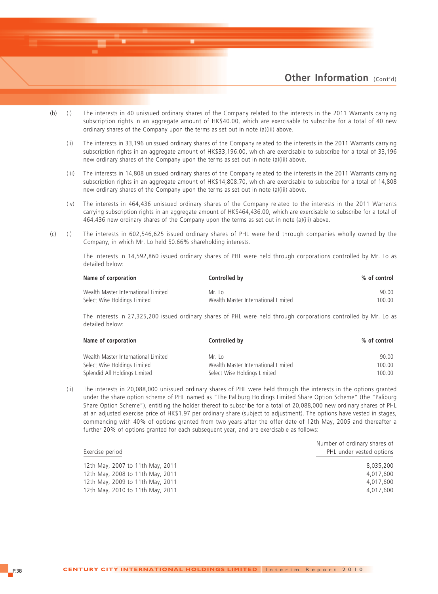

- (b) (i) The interests in 40 unissued ordinary shares of the Company related to the interests in the 2011 Warrants carrying subscription rights in an aggregate amount of HK\$40.00, which are exercisable to subscribe for a total of 40 new ordinary shares of the Company upon the terms as set out in note (a)(iii) above.
	- (ii) The interests in 33,196 unissued ordinary shares of the Company related to the interests in the 2011 Warrants carrying subscription rights in an aggregate amount of HK\$33,196.00, which are exercisable to subscribe for a total of 33,196 new ordinary shares of the Company upon the terms as set out in note (a)(iii) above.
	- (iii) The interests in 14,808 unissued ordinary shares of the Company related to the interests in the 2011 Warrants carrying subscription rights in an aggregate amount of HK\$14,808.70, which are exercisable to subscribe for a total of 14,808 new ordinary shares of the Company upon the terms as set out in note (a)(iii) above.
	- (iv) The interests in 464,436 unissued ordinary shares of the Company related to the interests in the 2011 Warrants carrying subscription rights in an aggregate amount of HK\$464,436.00, which are exercisable to subscribe for a total of 464,436 new ordinary shares of the Company upon the terms as set out in note (a)(iii) above.
- (c) (i) The interests in 602,546,625 issued ordinary shares of PHL were held through companies wholly owned by the Company, in which Mr. Lo held 50.66% shareholding interests.

The interests in 14,592,860 issued ordinary shares of PHL were held through corporations controlled by Mr. Lo as detailed below:

| Name of corporation                 | Controlled by                       | % of control |
|-------------------------------------|-------------------------------------|--------------|
| Wealth Master International Limited | Mr Io                               | 90.00        |
| Select Wise Holdings Limited        | Wealth Master International Limited | 100.00       |

The interests in 27,325,200 issued ordinary shares of PHL were held through corporations controlled by Mr. Lo as detailed below:

| Name of corporation                 | Controlled by                       | % of control |
|-------------------------------------|-------------------------------------|--------------|
| Wealth Master International Limited | Mr Io                               | 90.00        |
| Select Wise Holdings Limited        | Wealth Master International Limited | 100.00       |
| Splendid All Holdings Limited       | Select Wise Holdings Limited        | 100.00       |

(ii) The interests in 20,088,000 unissued ordinary shares of PHL were held through the interests in the options granted under the share option scheme of PHL named as "The Paliburg Holdings Limited Share Option Scheme" (the "Paliburg Share Option Scheme"), entitling the holder thereof to subscribe for a total of 20,088,000 new ordinary shares of PHL at an adjusted exercise price of HK\$1.97 per ordinary share (subject to adjustment). The options have vested in stages, commencing with 40% of options granted from two years after the offer date of 12th May, 2005 and thereafter a further 20% of options granted for each subsequent year, and are exercisable as follows:

| Exercise period                  | Number of ordinary shares of<br>PHL under vested options |
|----------------------------------|----------------------------------------------------------|
| 12th May, 2007 to 11th May, 2011 | 8.035.200                                                |
| 12th May, 2008 to 11th May, 2011 | 4,017,600                                                |
| 12th May, 2009 to 11th May, 2011 | 4.017.600                                                |
| 12th May, 2010 to 11th May, 2011 | 4,017,600                                                |
|                                  |                                                          |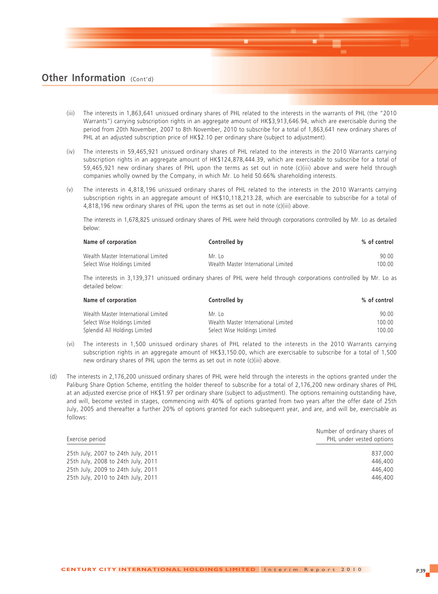- (iii) The interests in 1,863,641 unissued ordinary shares of PHL related to the interests in the warrants of PHL (the "2010 Warrants") carrying subscription rights in an aggregate amount of HK\$3,913,646.94, which are exercisable during the period from 20th November, 2007 to 8th November, 2010 to subscribe for a total of 1,863,641 new ordinary shares of PHL at an adjusted subscription price of HK\$2.10 per ordinary share (subject to adjustment).
- (iv) The interests in 59,465,921 unissued ordinary shares of PHL related to the interests in the 2010 Warrants carrying subscription rights in an aggregate amount of HK\$124,878,444.39, which are exercisable to subscribe for a total of 59,465,921 new ordinary shares of PHL upon the terms as set out in note (c)(iii) above and were held through companies wholly owned by the Company, in which Mr. Lo held 50.66% shareholding interests.
- (v) The interests in 4,818,196 unissued ordinary shares of PHL related to the interests in the 2010 Warrants carrying subscription rights in an aggregate amount of HK\$10,118,213.28, which are exercisable to subscribe for a total of 4,818,196 new ordinary shares of PHL upon the terms as set out in note (c)(iii) above.

The interests in 1,678,825 unissued ordinary shares of PHL were held through corporations controlled by Mr. Lo as detailed below:

| Name of corporation                 | Controlled by                       | % of control |
|-------------------------------------|-------------------------------------|--------------|
| Wealth Master International Limited | Mr Io                               | 90.00        |
| Select Wise Holdings Limited        | Wealth Master International Limited | 100.00       |

The interests in 3,139,371 unissued ordinary shares of PHL were held through corporations controlled by Mr. Lo as detailed below:

| Name of corporation                 | Controlled by                       | % of control |
|-------------------------------------|-------------------------------------|--------------|
| Wealth Master International Limited | Mr Io                               | 90.00        |
| Select Wise Holdings Limited        | Wealth Master International Limited | 100.00       |
| Splendid All Holdings Limited       | Select Wise Holdings Limited        | 100.00       |

- (vi) The interests in 1,500 unissued ordinary shares of PHL related to the interests in the 2010 Warrants carrying subscription rights in an aggregate amount of HK\$3,150.00, which are exercisable to subscribe for a total of 1,500 new ordinary shares of PHL upon the terms as set out in note (c)(iii) above.
- (d) The interests in 2,176,200 unissued ordinary shares of PHL were held through the interests in the options granted under the Paliburg Share Option Scheme, entitling the holder thereof to subscribe for a total of 2,176,200 new ordinary shares of PHL at an adjusted exercise price of HK\$1.97 per ordinary share (subject to adjustment). The options remaining outstanding have, and will, become vested in stages, commencing with 40% of options granted from two years after the offer date of 25th July, 2005 and thereafter a further 20% of options granted for each subsequent year, and are, and will be, exercisable as follows:

| Exercise period                    | Number of ordinary shares of<br>PHL under vested options |
|------------------------------------|----------------------------------------------------------|
| 25th July, 2007 to 24th July, 2011 | 837.000                                                  |
| 25th July, 2008 to 24th July, 2011 | 446,400                                                  |
| 25th July, 2009 to 24th July, 2011 | 446,400                                                  |
| 25th July, 2010 to 24th July, 2011 | 446.400                                                  |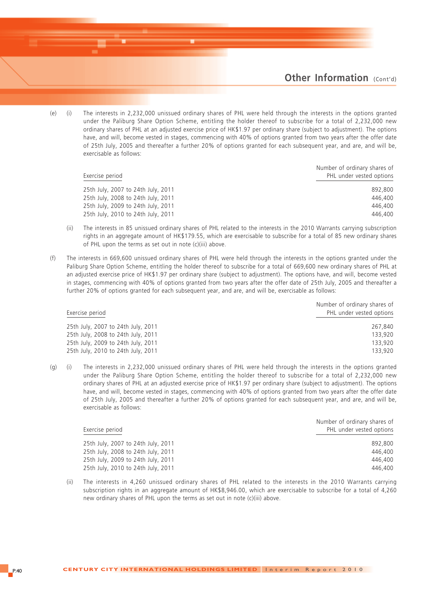(e) (i) The interests in 2,232,000 unissued ordinary shares of PHL were held through the interests in the options granted under the Paliburg Share Option Scheme, entitling the holder thereof to subscribe for a total of 2,232,000 new ordinary shares of PHL at an adjusted exercise price of HK\$1.97 per ordinary share (subject to adjustment). The options have, and will, become vested in stages, commencing with 40% of options granted from two years after the offer date of 25th July, 2005 and thereafter a further 20% of options granted for each subsequent year, and are, and will be, exercisable as follows:

| Exercise period                    | Number of ordinary shares of<br>PHL under vested options |
|------------------------------------|----------------------------------------------------------|
| 25th July, 2007 to 24th July, 2011 | 892,800                                                  |
| 25th July, 2008 to 24th July, 2011 | 446,400                                                  |
| 25th July, 2009 to 24th July, 2011 | 446.400                                                  |
| 25th July, 2010 to 24th July, 2011 | 446,400                                                  |
|                                    |                                                          |

- (ii) The interests in 85 unissued ordinary shares of PHL related to the interests in the 2010 Warrants carrying subscription rights in an aggregate amount of HK\$179.55, which are exercisable to subscribe for a total of 85 new ordinary shares of PHL upon the terms as set out in note (c)(iii) above.
- (f) The interests in 669,600 unissued ordinary shares of PHL were held through the interests in the options granted under the Paliburg Share Option Scheme, entitling the holder thereof to subscribe for a total of 669,600 new ordinary shares of PHL at an adjusted exercise price of HK\$1.97 per ordinary share (subject to adjustment). The options have, and will, become vested in stages, commencing with 40% of options granted from two years after the offer date of 25th July, 2005 and thereafter a further 20% of options granted for each subsequent year, and are, and will be, exercisable as follows:

| Exercise period                    | Number of ordinary shares of<br>PHL under vested options |
|------------------------------------|----------------------------------------------------------|
| 25th July, 2007 to 24th July, 2011 | 267.840                                                  |
| 25th July, 2008 to 24th July, 2011 | 133.920                                                  |
| 25th July, 2009 to 24th July, 2011 | 133,920                                                  |
| 25th July, 2010 to 24th July, 2011 | 133.920                                                  |

(g) (i) The interests in 2,232,000 unissued ordinary shares of PHL were held through the interests in the options granted under the Paliburg Share Option Scheme, entitling the holder thereof to subscribe for a total of 2,232,000 new ordinary shares of PHL at an adjusted exercise price of HK\$1.97 per ordinary share (subject to adjustment). The options have, and will, become vested in stages, commencing with 40% of options granted from two years after the offer date of 25th July, 2005 and thereafter a further 20% of options granted for each subsequent year, and are, and will be, exercisable as follows:

| Exercise period                    | Number of ordinary shares of<br>PHL under vested options |
|------------------------------------|----------------------------------------------------------|
| 25th July, 2007 to 24th July, 2011 | 892,800                                                  |
| 25th July, 2008 to 24th July, 2011 | 446,400                                                  |
| 25th July, 2009 to 24th July, 2011 | 446,400                                                  |
| 25th July, 2010 to 24th July, 2011 | 446,400                                                  |

(ii) The interests in 4,260 unissued ordinary shares of PHL related to the interests in the 2010 Warrants carrying subscription rights in an aggregate amount of HK\$8,946.00, which are exercisable to subscribe for a total of 4,260 new ordinary shares of PHL upon the terms as set out in note (c)(iii) above.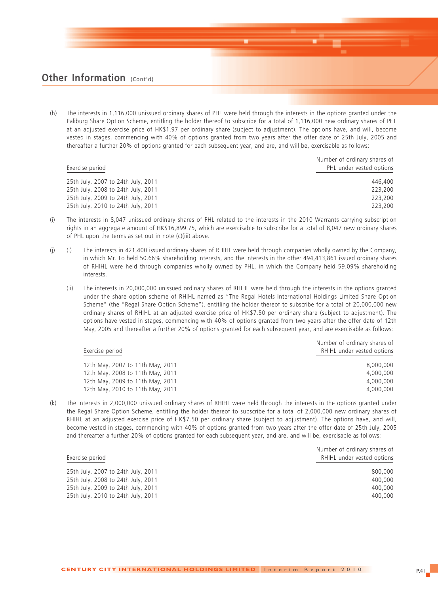(h) The interests in 1,116,000 unissued ordinary shares of PHL were held through the interests in the options granted under the Paliburg Share Option Scheme, entitling the holder thereof to subscribe for a total of 1,116,000 new ordinary shares of PHL at an adjusted exercise price of HK\$1.97 per ordinary share (subject to adjustment). The options have, and will, become vested in stages, commencing with 40% of options granted from two years after the offer date of 25th July, 2005 and thereafter a further 20% of options granted for each subsequent year, and are, and will be, exercisable as follows:

| Exercise period                    | Number of ordinary shares of<br>PHL under vested options |
|------------------------------------|----------------------------------------------------------|
| 25th July, 2007 to 24th July, 2011 | 446,400                                                  |
| 25th July, 2008 to 24th July, 2011 | 223,200                                                  |
| 25th July, 2009 to 24th July, 2011 | 223,200                                                  |
| 25th July, 2010 to 24th July, 2011 | 223,200                                                  |

- (i) The interests in 8,047 unissued ordinary shares of PHL related to the interests in the 2010 Warrants carrying subscription rights in an aggregate amount of HK\$16,899.75, which are exercisable to subscribe for a total of 8,047 new ordinary shares of PHL upon the terms as set out in note (c)(iii) above.
- (j) (i) The interests in 421,400 issued ordinary shares of RHIHL were held through companies wholly owned by the Company, in which Mr. Lo held 50.66% shareholding interests, and the interests in the other 494,413,861 issued ordinary shares of RHIHL were held through companies wholly owned by PHL, in which the Company held 59.09% shareholding interests.
	- (ii) The interests in 20,000,000 unissued ordinary shares of RHIHL were held through the interests in the options granted under the share option scheme of RHIHL named as "The Regal Hotels International Holdings Limited Share Option Scheme" (the "Regal Share Option Scheme"), entitling the holder thereof to subscribe for a total of 20,000,000 new ordinary shares of RHIHL at an adjusted exercise price of HK\$7.50 per ordinary share (subject to adjustment). The options have vested in stages, commencing with 40% of options granted from two years after the offer date of 12th May, 2005 and thereafter a further 20% of options granted for each subsequent year, and are exercisable as follows:

| 12th May, 2007 to 11th May, 2011<br>12th May, 2008 to 11th May, 2011<br>12th May, 2009 to 11th May, 2011<br>12th May, 2010 to 11th May, 2011 | Exercise period | Number of ordinary shares of<br>RHIHL under vested options |
|----------------------------------------------------------------------------------------------------------------------------------------------|-----------------|------------------------------------------------------------|
|                                                                                                                                              |                 | 8,000,000                                                  |
|                                                                                                                                              |                 | 4,000,000                                                  |
|                                                                                                                                              |                 | 4,000,000                                                  |
|                                                                                                                                              |                 | 4,000,000                                                  |

(k) The interests in 2,000,000 unissued ordinary shares of RHIHL were held through the interests in the options granted under the Regal Share Option Scheme, entitling the holder thereof to subscribe for a total of 2,000,000 new ordinary shares of RHIHL at an adjusted exercise price of HK\$7.50 per ordinary share (subject to adjustment). The options have, and will, become vested in stages, commencing with 40% of options granted from two years after the offer date of 25th July, 2005 and thereafter a further 20% of options granted for each subsequent year, and are, and will be, exercisable as follows:

| Number of ordinary shares of<br>RHIHL under vested options |
|------------------------------------------------------------|
| 800,000                                                    |
| 400,000                                                    |
| 400,000                                                    |
| 400,000                                                    |
|                                                            |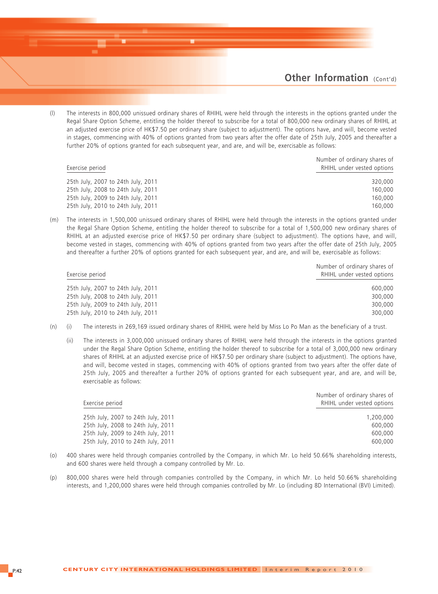(l) The interests in 800,000 unissued ordinary shares of RHIHL were held through the interests in the options granted under the Regal Share Option Scheme, entitling the holder thereof to subscribe for a total of 800,000 new ordinary shares of RHIHL at an adjusted exercise price of HK\$7.50 per ordinary share (subject to adjustment). The options have, and will, become vested in stages, commencing with 40% of options granted from two years after the offer date of 25th July, 2005 and thereafter a further 20% of options granted for each subsequent year, and are, and will be, exercisable as follows:

|                                    | Number of ordinary shares of |
|------------------------------------|------------------------------|
| Exercise period                    | RHIHL under vested options   |
| 25th July, 2007 to 24th July, 2011 | 320,000                      |
| 25th July, 2008 to 24th July, 2011 | 160,000                      |
| 25th July, 2009 to 24th July, 2011 | 160,000                      |
| 25th July, 2010 to 24th July, 2011 | 160,000                      |

(m) The interests in 1,500,000 unissued ordinary shares of RHIHL were held through the interests in the options granted under the Regal Share Option Scheme, entitling the holder thereof to subscribe for a total of 1,500,000 new ordinary shares of RHIHL at an adjusted exercise price of HK\$7.50 per ordinary share (subject to adjustment). The options have, and will, become vested in stages, commencing with 40% of options granted from two years after the offer date of 25th July, 2005 and thereafter a further 20% of options granted for each subsequent year, and are, and will be, exercisable as follows:

| Exercise period                    | Number of ordinary shares of<br>RHIHL under vested options |
|------------------------------------|------------------------------------------------------------|
| 25th July, 2007 to 24th July, 2011 | 600,000                                                    |
| 25th July, 2008 to 24th July, 2011 | 300,000                                                    |
| 25th July, 2009 to 24th July, 2011 | 300,000                                                    |
| 25th July, 2010 to 24th July, 2011 | 300,000                                                    |

- (n) (i) The interests in 269,169 issued ordinary shares of RHIHL were held by Miss Lo Po Man as the beneficiary of a trust.
	- (ii) The interests in 3,000,000 unissued ordinary shares of RHIHL were held through the interests in the options granted under the Regal Share Option Scheme, entitling the holder thereof to subscribe for a total of 3,000,000 new ordinary shares of RHIHL at an adjusted exercise price of HK\$7.50 per ordinary share (subject to adjustment). The options have, and will, become vested in stages, commencing with 40% of options granted from two years after the offer date of 25th July, 2005 and thereafter a further 20% of options granted for each subsequent year, and are, and will be, exercisable as follows:

|                                    | Number of ordinary shares of |
|------------------------------------|------------------------------|
| Exercise period                    | RHIHL under vested options   |
| 25th July, 2007 to 24th July, 2011 | 1,200,000                    |
| 25th July, 2008 to 24th July, 2011 | 600,000                      |
| 25th July, 2009 to 24th July, 2011 | 600,000                      |
| 25th July, 2010 to 24th July, 2011 | 600,000                      |
|                                    |                              |

- (o) 400 shares were held through companies controlled by the Company, in which Mr. Lo held 50.66% shareholding interests, and 600 shares were held through a company controlled by Mr. Lo.
- (p) 800,000 shares were held through companies controlled by the Company, in which Mr. Lo held 50.66% shareholding interests, and 1,200,000 shares were held through companies controlled by Mr. Lo (including 8D International (BVI) Limited).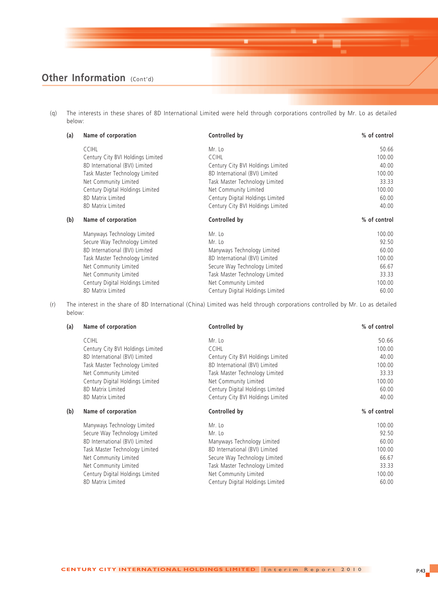(q) The interests in these shares of 8D International Limited were held through corporations controlled by Mr. Lo as detailed below:

| (a) | Name of corporation               | Controlled by                     | % of control |
|-----|-----------------------------------|-----------------------------------|--------------|
|     | <b>CCIHL</b>                      | Mr. Lo                            | 50.66        |
|     | Century City BVI Holdings Limited | <b>CCIHL</b>                      | 100.00       |
|     | 8D International (BVI) Limited    | Century City BVI Holdings Limited | 40.00        |
|     | Task Master Technology Limited    | 8D International (BVI) Limited    | 100.00       |
|     | Net Community Limited             | Task Master Technology Limited    | 33.33        |
|     | Century Digital Holdings Limited  | Net Community Limited             | 100.00       |
|     | 8D Matrix Limited                 | Century Digital Holdings Limited  | 60.00        |
|     | 8D Matrix Limited                 | Century City BVI Holdings Limited | 40.00        |
| (b) | Name of corporation               | Controlled by                     | % of control |
|     | Manyways Technology Limited       | Mr. Lo                            | 100.00       |
|     | Secure Way Technology Limited     | Mr. Lo                            | 92.50        |
|     | 8D International (BVI) Limited    | Manyways Technology Limited       | 60.00        |
|     | Task Master Technology Limited    | 8D International (BVI) Limited    | 100.00       |
|     | Net Community Limited             | Secure Way Technology Limited     | 66.67        |
|     | Net Community Limited             | Task Master Technology Limited    | 33.33        |
|     | Century Digital Holdings Limited  | Net Community Limited             | 100.00       |
|     | 8D Matrix Limited                 | Century Digital Holdings Limited  | 60.00        |

(r) The interest in the share of 8D International (China) Limited was held through corporations controlled by Mr. Lo as detailed below:

| (a) | Name of corporation               | Controlled by                     | % of control |
|-----|-----------------------------------|-----------------------------------|--------------|
|     | <b>CCIHL</b>                      | Mr. Lo                            | 50.66        |
|     | Century City BVI Holdings Limited | <b>CCIHL</b>                      | 100.00       |
|     | 8D International (BVI) Limited    | Century City BVI Holdings Limited | 40.00        |
|     | Task Master Technology Limited    | 8D International (BVI) Limited    | 100.00       |
|     | Net Community Limited             | Task Master Technology Limited    | 33.33        |
|     | Century Digital Holdings Limited  | Net Community Limited             | 100.00       |
|     | 8D Matrix Limited                 | Century Digital Holdings Limited  | 60.00        |
|     | 8D Matrix Limited                 | Century City BVI Holdings Limited | 40.00        |
| (b) | Name of corporation               | Controlled by                     | % of control |
|     |                                   |                                   |              |
|     | Manyways Technology Limited       | Mr. Lo                            | 100.00       |
|     | Secure Way Technology Limited     | Mr. Lo                            | 92.50        |
|     | 8D International (BVI) Limited    | Manyways Technology Limited       | 60.00        |
|     | Task Master Technology Limited    | 8D International (BVI) Limited    | 100.00       |
|     | Net Community Limited             | Secure Way Technology Limited     | 66.67        |
|     | Net Community Limited             | Task Master Technology Limited    | 33.33        |
|     | Century Digital Holdings Limited  | Net Community Limited             | 100.00       |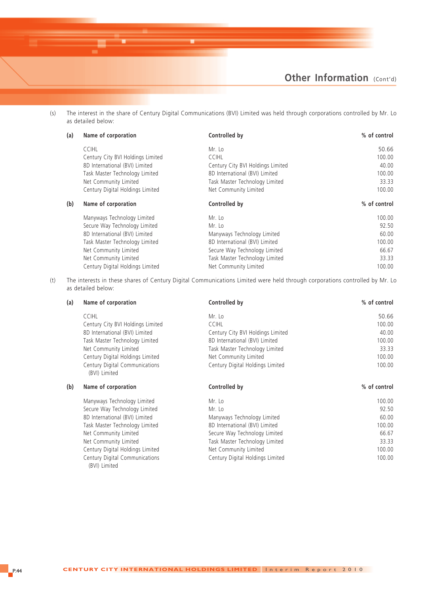

(s) The interest in the share of Century Digital Communications (BVI) Limited was held through corporations controlled by Mr. Lo as detailed below:

| (a) | Name of corporation               | Controlled by                     | % of control |
|-----|-----------------------------------|-----------------------------------|--------------|
|     | <b>CCIHL</b>                      | Mr. Lo                            | 50.66        |
|     | Century City BVI Holdings Limited | <b>CCIHL</b>                      | 100.00       |
|     | 8D International (BVI) Limited    | Century City BVI Holdings Limited | 40.00        |
|     | Task Master Technology Limited    | 8D International (BVI) Limited    | 100.00       |
|     | Net Community Limited             | Task Master Technology Limited    | 33.33        |
|     | Century Digital Holdings Limited  | Net Community Limited             | 100.00       |
| (b) | Name of corporation               | Controlled by                     | % of control |
|     | Manyways Technology Limited       | Mr. Lo                            | 100.00       |
|     | Secure Way Technology Limited     | Mr. Lo                            | 92.50        |
|     | 8D International (BVI) Limited    | Manyways Technology Limited       | 60.00        |
|     | Task Master Technology Limited    | 8D International (BVI) Limited    | 100.00       |
|     | Net Community Limited             | Secure Way Technology Limited     | 66.67        |
|     | Net Community Limited             | Task Master Technology Limited    | 33.33        |
|     | Century Digital Holdings Limited  | Net Community Limited             | 100.00       |

(t) The interests in these shares of Century Digital Communications Limited were held through corporations controlled by Mr. Lo as detailed below:

| (a) | Name of corporation                             | Controlled by                     | % of control |
|-----|-------------------------------------------------|-----------------------------------|--------------|
|     | <b>CCIHL</b>                                    | Mr. Lo                            | 50.66        |
|     | Century City BVI Holdings Limited               | <b>CCIHL</b>                      | 100.00       |
|     | 8D International (BVI) Limited                  | Century City BVI Holdings Limited | 40.00        |
|     | Task Master Technology Limited                  | 8D International (BVI) Limited    | 100.00       |
|     | Net Community Limited                           | Task Master Technology Limited    | 33.33        |
|     | Century Digital Holdings Limited                | Net Community Limited             | 100.00       |
|     | Century Digital Communications<br>(BVI) Limited | Century Digital Holdings Limited  | 100.00       |
| (b) | Name of corporation                             | Controlled by                     | % of control |
|     | Manyways Technology Limited                     | Mr. Lo                            | 100.00       |
|     | Secure Way Technology Limited                   | Mr. Lo                            | 92.50        |
|     | 8D International (BVI) Limited                  | Manyways Technology Limited       | 60.00        |
|     | Task Master Technology Limited                  | 8D International (BVI) Limited    | 100.00       |
|     | Net Community Limited                           | Secure Way Technology Limited     | 66.67        |
|     | Net Community Limited                           | Task Master Technology Limited    | 33.33        |
|     | Century Digital Holdings Limited                | Net Community Limited             | 100.00       |
|     | Century Digital Communications<br>(BVI) Limited | Century Digital Holdings Limited  | 100.00       |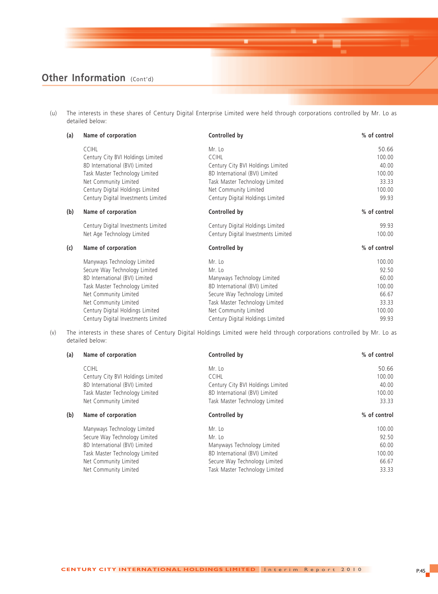(u) The interests in these shares of Century Digital Enterprise Limited were held through corporations controlled by Mr. Lo as detailed below:

| (a) | Name of corporation                 | Controlled by                       | % of control |
|-----|-------------------------------------|-------------------------------------|--------------|
|     | <b>CCIHL</b>                        | Mr. Lo                              | 50.66        |
|     | Century City BVI Holdings Limited   | <b>CCIHL</b>                        | 100.00       |
|     | 8D International (BVI) Limited      | Century City BVI Holdings Limited   | 40.00        |
|     | Task Master Technology Limited      | 8D International (BVI) Limited      | 100.00       |
|     | Net Community Limited               | Task Master Technology Limited      | 33.33        |
|     | Century Digital Holdings Limited    | Net Community Limited               | 100.00       |
|     | Century Digital Investments Limited | Century Digital Holdings Limited    | 99.93        |
| (b) | Name of corporation                 | Controlled by                       | % of control |
|     | Century Digital Investments Limited | Century Digital Holdings Limited    | 99.93        |
|     | Net Age Technology Limited          | Century Digital Investments Limited | 100.00       |
| (c) | Name of corporation                 | Controlled by                       | % of control |
|     | Manyways Technology Limited         | Mr. Lo                              | 100.00       |
|     | Secure Way Technology Limited       | Mr. Lo                              | 92.50        |
|     | 8D International (BVI) Limited      | Manyways Technology Limited         | 60.00        |
|     | Task Master Technology Limited      | 8D International (BVI) Limited      | 100.00       |
|     | Net Community Limited               | Secure Way Technology Limited       | 66.67        |
|     | Net Community Limited               | Task Master Technology Limited      | 33.33        |
|     | Century Digital Holdings Limited    | Net Community Limited               | 100.00       |
|     | Century Digital Investments Limited | Century Digital Holdings Limited    | 99.93        |

(v) The interests in these shares of Century Digital Holdings Limited were held through corporations controlled by Mr. Lo as detailed below:

| (a) | Name of corporation               | Controlled by                     | % of control |
|-----|-----------------------------------|-----------------------------------|--------------|
|     | <b>CCIHL</b>                      | Mr. Lo                            | 50.66        |
|     | Century City BVI Holdings Limited | <b>CCIHL</b>                      | 100.00       |
|     | 8D International (BVI) Limited    | Century City BVI Holdings Limited | 40.00        |
|     | Task Master Technology Limited    | 8D International (BVI) Limited    | 100.00       |
|     | Net Community Limited             | Task Master Technology Limited    | 33.33        |
| (b) | Name of corporation               | Controlled by                     | % of control |
|     | Manyways Technology Limited       | Mr. Lo                            | 100.00       |
|     | Secure Way Technology Limited     | Mr. Lo                            | 92.50        |
|     | 8D International (BVI) Limited    | Manyways Technology Limited       | 60.00        |
|     | Task Master Technology Limited    | 8D International (BVI) Limited    | 100.00       |
|     |                                   |                                   |              |
|     | Net Community Limited             | Secure Way Technology Limited     | 66.67        |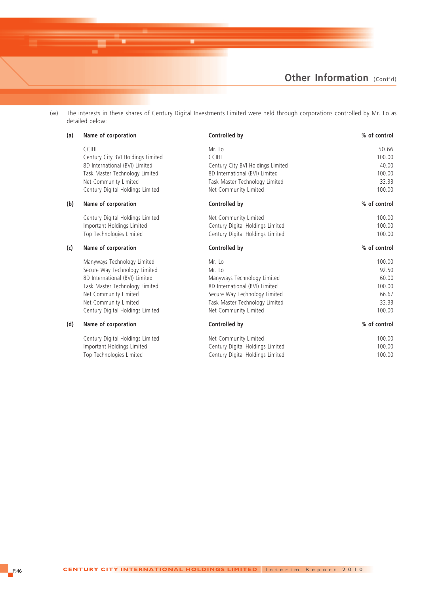

(w) The interests in these shares of Century Digital Investments Limited were held through corporations controlled by Mr. Lo as detailed below:

| (a) | Name of corporation               | Controlled by                     | % of control |
|-----|-----------------------------------|-----------------------------------|--------------|
|     | <b>CCIHL</b>                      | Mr. Lo                            | 50.66        |
|     | Century City BVI Holdings Limited | <b>CCIHL</b>                      | 100.00       |
|     | 8D International (BVI) Limited    | Century City BVI Holdings Limited | 40.00        |
|     | Task Master Technology Limited    | 8D International (BVI) Limited    | 100.00       |
|     | Net Community Limited             | Task Master Technology Limited    | 33.33        |
|     | Century Digital Holdings Limited  | Net Community Limited             | 100.00       |
| (b) | Name of corporation               | Controlled by                     | % of control |
|     | Century Digital Holdings Limited  | Net Community Limited             | 100.00       |
|     | Important Holdings Limited        | Century Digital Holdings Limited  | 100.00       |
|     | Top Technologies Limited          | Century Digital Holdings Limited  | 100.00       |
| (c) | Name of corporation               | Controlled by                     | % of control |
|     | Manyways Technology Limited       | Mr. Lo                            | 100.00       |
|     | Secure Way Technology Limited     | Mr. Lo                            | 92.50        |
|     | 8D International (BVI) Limited    | Manyways Technology Limited       | 60.00        |
|     | Task Master Technology Limited    | 8D International (BVI) Limited    | 100.00       |
|     | Net Community Limited             | Secure Way Technology Limited     | 66.67        |
|     | Net Community Limited             | Task Master Technology Limited    | 33.33        |
|     | Century Digital Holdings Limited  | Net Community Limited             | 100.00       |
| (d) | Name of corporation               | Controlled by                     | % of control |
|     | Century Digital Holdings Limited  | Net Community Limited             | 100.00       |
|     | Important Holdings Limited        | Century Digital Holdings Limited  | 100.00       |
|     | Top Technologies Limited          | Century Digital Holdings Limited  | 100.00       |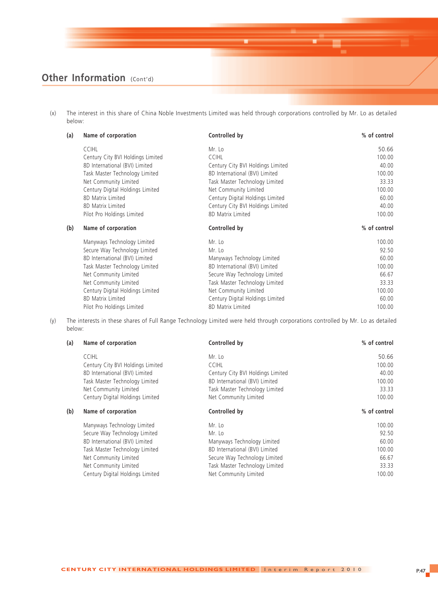(x) The interest in this share of China Noble Investments Limited was held through corporations controlled by Mr. Lo as detailed below:

| (a) | Name of corporation               | Controlled by                     | % of control |
|-----|-----------------------------------|-----------------------------------|--------------|
|     | <b>CCIHL</b>                      | Mr. Lo                            | 50.66        |
|     | Century City BVI Holdings Limited | <b>CCIHL</b>                      | 100.00       |
|     | 8D International (BVI) Limited    | Century City BVI Holdings Limited | 40.00        |
|     | Task Master Technology Limited    | 8D International (BVI) Limited    | 100.00       |
|     | Net Community Limited             | Task Master Technology Limited    | 33.33        |
|     | Century Digital Holdings Limited  | Net Community Limited             | 100.00       |
|     | 8D Matrix Limited                 | Century Digital Holdings Limited  | 60.00        |
|     | 8D Matrix Limited                 | Century City BVI Holdings Limited | 40.00        |
|     | Pilot Pro Holdings Limited        | 8D Matrix Limited                 | 100.00       |
| (b) | Name of corporation               | Controlled by                     | % of control |
|     | Manyways Technology Limited       | Mr. Lo                            | 100.00       |
|     | Secure Way Technology Limited     | Mr. Lo                            | 92.50        |
|     | 8D International (BVI) Limited    | Manyways Technology Limited       | 60.00        |
|     | Task Master Technology Limited    | 8D International (BVI) Limited    | 100.00       |
|     | Net Community Limited             | Secure Way Technology Limited     | 66.67        |
|     | Net Community Limited             | Task Master Technology Limited    | 33.33        |
|     | Century Digital Holdings Limited  | Net Community Limited             | 100.00       |
|     | 8D Matrix Limited                 | Century Digital Holdings Limited  | 60.00        |
|     | Pilot Pro Holdings Limited        | 8D Matrix Limited                 | 100.00       |

(y) The interests in these shares of Full Range Technology Limited were held through corporations controlled by Mr. Lo as detailed below:

| (a) | Name of corporation               | Controlled by                     | $%$ of control |
|-----|-----------------------------------|-----------------------------------|----------------|
|     | <b>CCIHL</b>                      | Mr. Lo                            | 50.66          |
|     | Century City BVI Holdings Limited | <b>CCIHL</b>                      | 100.00         |
|     | 8D International (BVI) Limited    | Century City BVI Holdings Limited | 40.00          |
|     | Task Master Technology Limited    | 8D International (BVI) Limited    | 100.00         |
|     | Net Community Limited             | Task Master Technology Limited    | 33.33          |
|     | Century Digital Holdings Limited  | Net Community Limited             | 100.00         |
| (b) | Name of corporation               | Controlled by                     | % of control   |
|     |                                   |                                   |                |
|     | Manyways Technology Limited       | Mr. Lo                            | 100.00         |
|     | Secure Way Technology Limited     | Mr. Lo                            | 92.50          |
|     | 8D International (BVI) Limited    | Manyways Technology Limited       | 60.00          |
|     | Task Master Technology Limited    | 8D International (BVI) Limited    | 100.00         |
|     | Net Community Limited             | Secure Way Technology Limited     | 66.67          |
|     | Net Community Limited             | Task Master Technology Limited    | 33.33          |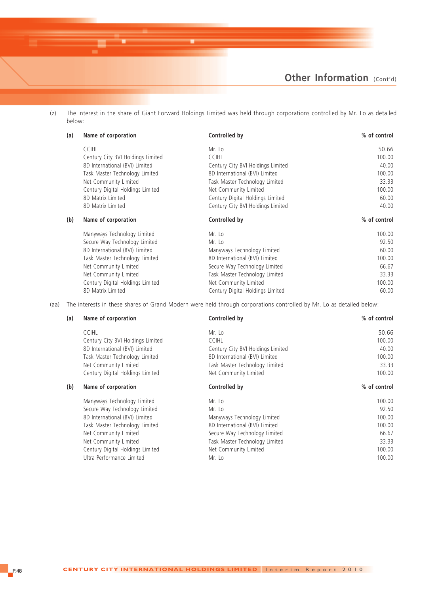(z) The interest in the share of Giant Forward Holdings Limited was held through corporations controlled by Mr. Lo as detailed below:

| (a) | Name of corporation               | Controlled by                     | % of control |
|-----|-----------------------------------|-----------------------------------|--------------|
|     | <b>CCIHL</b>                      | Mr. Lo                            | 50.66        |
|     | Century City BVI Holdings Limited | <b>CCIHL</b>                      | 100.00       |
|     | 8D International (BVI) Limited    | Century City BVI Holdings Limited | 40.00        |
|     | Task Master Technology Limited    | 8D International (BVI) Limited    | 100.00       |
|     | Net Community Limited             | Task Master Technology Limited    | 33.33        |
|     | Century Digital Holdings Limited  | Net Community Limited             | 100.00       |
|     | 8D Matrix Limited                 | Century Digital Holdings Limited  | 60.00        |
|     | 8D Matrix Limited                 | Century City BVI Holdings Limited | 40.00        |
| (b) | Name of corporation               | Controlled by                     | % of control |
|     | Manyways Technology Limited       | Mr. Lo                            | 100.00       |
|     | Secure Way Technology Limited     | Mr. Lo                            | 92.50        |
|     | 8D International (BVI) Limited    | Manyways Technology Limited       | 60.00        |
|     | Task Master Technology Limited    | 8D International (BVI) Limited    | 100.00       |
|     | Net Community Limited             | Secure Way Technology Limited     | 66.67        |
|     | Net Community Limited             | Task Master Technology Limited    | 33.33        |
|     | Century Digital Holdings Limited  | Net Community Limited             | 100.00       |
|     |                                   |                                   |              |

(aa) The interests in these shares of Grand Modern were held through corporations controlled by Mr. Lo as detailed below:

| (a) | Name of corporation               | Controlled by                     | % of control |
|-----|-----------------------------------|-----------------------------------|--------------|
|     | <b>CCIHL</b>                      | Mr. Lo                            | 50.66        |
|     | Century City BVI Holdings Limited | <b>CCIHL</b>                      | 100.00       |
|     | 8D International (BVI) Limited    | Century City BVI Holdings Limited | 40.00        |
|     | Task Master Technology Limited    | 8D International (BVI) Limited    | 100.00       |
|     | Net Community Limited             | Task Master Technology Limited    | 33.33        |
|     | Century Digital Holdings Limited  | Net Community Limited             | 100.00       |
| (b) | Name of corporation               | Controlled by                     | % of control |
|     | Manyways Technology Limited       | Mr. Lo                            | 100.00       |
|     | Secure Way Technology Limited     | Mr. Lo                            | 92.50        |
|     | 8D International (BVI) Limited    | Manyways Technology Limited       | 100.00       |
|     | Task Master Technology Limited    | 8D International (BVI) Limited    | 100.00       |
|     | Net Community Limited             | Secure Way Technology Limited     | 66.67        |
|     | Net Community Limited             | Task Master Technology Limited    | 33.33        |
|     | Century Digital Holdings Limited  | Net Community Limited             | 100.00       |
|     | Ultra Performance Limited         | Mr. Lo                            | 100.00       |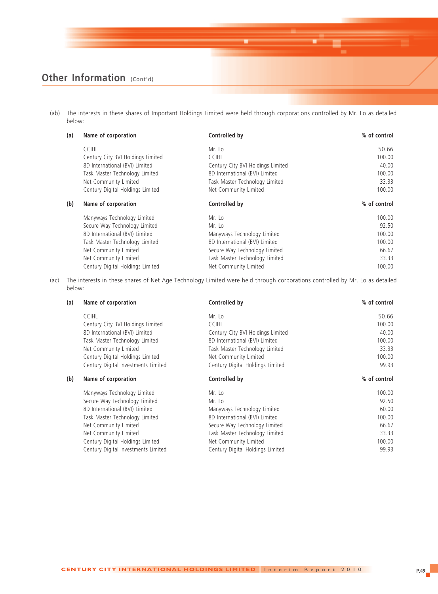(ab) The interests in these shares of Important Holdings Limited were held through corporations controlled by Mr. Lo as detailed below:

| (a) | Name of corporation               | Controlled by                     | % of control |
|-----|-----------------------------------|-----------------------------------|--------------|
|     | <b>CCIHL</b>                      | Mr. Lo                            | 50.66        |
|     | Century City BVI Holdings Limited | <b>CCIHL</b>                      | 100.00       |
|     | 8D International (BVI) Limited    | Century City BVI Holdings Limited | 40.00        |
|     | Task Master Technology Limited    | 8D International (BVI) Limited    | 100.00       |
|     | Net Community Limited             | Task Master Technology Limited    | 33.33        |
|     | Century Digital Holdings Limited  | Net Community Limited             | 100.00       |
| (b) | Name of corporation               | Controlled by                     | % of control |
|     | Manyways Technology Limited       | Mr. Lo                            | 100.00       |
|     | Secure Way Technology Limited     | Mr. Lo                            | 92.50        |
|     | 8D International (BVI) Limited    | Manyways Technology Limited       | 100.00       |
|     | Task Master Technology Limited    | 8D International (BVI) Limited    | 100.00       |
|     | Net Community Limited             | Secure Way Technology Limited     | 66.67        |
|     | Net Community Limited             | Task Master Technology Limited    | 33.33        |
|     | Century Digital Holdings Limited  | Net Community Limited             | 100.00       |

(ac) The interests in these shares of Net Age Technology Limited were held through corporations controlled by Mr. Lo as detailed below:

| (a) | Name of corporation                 | Controlled by                     | % of control |
|-----|-------------------------------------|-----------------------------------|--------------|
|     | <b>CCIHL</b>                        | Mr. Lo                            | 50.66        |
|     | Century City BVI Holdings Limited   | <b>CCIHL</b>                      | 100.00       |
|     | 8D International (BVI) Limited      | Century City BVI Holdings Limited | 40.00        |
|     | Task Master Technology Limited      | 8D International (BVI) Limited    | 100.00       |
|     | Net Community Limited               | Task Master Technology Limited    | 33.33        |
|     | Century Digital Holdings Limited    | Net Community Limited             | 100.00       |
|     | Century Digital Investments Limited | Century Digital Holdings Limited  | 99.93        |
| (b) | Name of corporation                 | Controlled by                     | % of control |
|     | Manyways Technology Limited         | Mr. Lo                            | 100.00       |
|     | Secure Way Technology Limited       | Mr. Lo                            | 92.50        |
|     | 8D International (BVI) Limited      | Manyways Technology Limited       | 60.00        |
|     | Task Master Technology Limited      | 8D International (BVI) Limited    | 100.00       |
|     | Net Community Limited               | Secure Way Technology Limited     | 66.67        |
|     | Net Community Limited               | Task Master Technology Limited    | 33.33        |
|     | Century Digital Holdings Limited    | Net Community Limited             | 100.00       |
|     | Century Digital Investments Limited | Century Digital Holdings Limited  | 99.93        |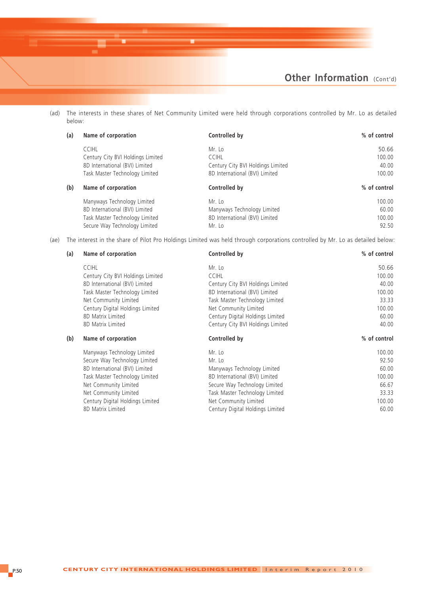

(ad) The interests in these shares of Net Community Limited were held through corporations controlled by Mr. Lo as detailed below:

| (a) | Name of corporation               | Controlled by                     | % of control |
|-----|-----------------------------------|-----------------------------------|--------------|
|     | <b>CCIHL</b>                      | Mr. Lo                            | 50.66        |
|     | Century City BVI Holdings Limited | <b>CCIHL</b>                      | 100.00       |
|     | 8D International (BVI) Limited    | Century City BVI Holdings Limited | 40.00        |
|     | Task Master Technology Limited    | 8D International (BVI) Limited    | 100.00       |
| (b) | Name of corporation               | Controlled by                     | % of control |
|     | Manyways Technology Limited       | Mr. Lo                            | 100.00       |
|     | 8D International (BVI) Limited    | Manyways Technology Limited       | 60.00        |
|     | Task Master Technology Limited    | 8D International (BVI) Limited    | 100.00       |
|     | Secure Way Technology Limited     | Mr. Lo                            | 92.50        |

(ae) The interest in the share of Pilot Pro Holdings Limited was held through corporations controlled by Mr. Lo as detailed below:

| (a) | Name of corporation               | Controlled by                     | % of control |
|-----|-----------------------------------|-----------------------------------|--------------|
|     | <b>CCIHL</b>                      | Mr. Lo                            | 50.66        |
|     | Century City BVI Holdings Limited | <b>CCIHL</b>                      | 100.00       |
|     | 8D International (BVI) Limited    | Century City BVI Holdings Limited | 40.00        |
|     | Task Master Technology Limited    | 8D International (BVI) Limited    | 100.00       |
|     | Net Community Limited             | Task Master Technology Limited    | 33.33        |
|     | Century Digital Holdings Limited  | Net Community Limited             | 100.00       |
|     | 8D Matrix Limited                 | Century Digital Holdings Limited  | 60.00        |
|     | 8D Matrix Limited                 | Century City BVI Holdings Limited | 40.00        |
| (b) | Name of corporation               | Controlled by                     | % of control |
|     | Manyways Technology Limited       | Mr. Lo                            | 100.00       |
|     | Secure Way Technology Limited     | Mr. Lo                            | 92.50        |
|     | 8D International (BVI) Limited    | Manyways Technology Limited       | 60.00        |
|     | Task Master Technology Limited    | 8D International (BVI) Limited    | 100.00       |
|     | Net Community Limited             | Secure Way Technology Limited     | 66.67        |
|     | Net Community Limited             | Task Master Technology Limited    | 33.33        |
|     | Century Digital Holdings Limited  | Net Community Limited             | 100.00       |
|     | 8D Matrix Limited                 | Century Digital Holdings Limited  | 60.00        |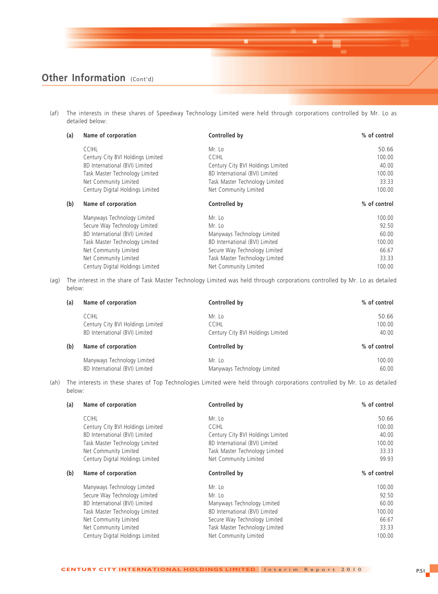(af) The interests in these shares of Speedway Technology Limited were held through corporations controlled by Mr. Lo as detailed below:

| (a) | Name of corporation               | Controlled by                     | % of control |
|-----|-----------------------------------|-----------------------------------|--------------|
|     | <b>CCIHL</b>                      | Mr. Lo                            | 50.66        |
|     | Century City BVI Holdings Limited | <b>CCIHL</b>                      | 100.00       |
|     | 8D International (BVI) Limited    | Century City BVI Holdings Limited | 40.00        |
|     | Task Master Technology Limited    | 8D International (BVI) Limited    | 100.00       |
|     | Net Community Limited             | Task Master Technology Limited    | 33.33        |
|     | Century Digital Holdings Limited  | Net Community Limited             | 100.00       |
| (b) | Name of corporation               | Controlled by                     | % of control |
|     | Manyways Technology Limited       | Mr. Lo                            | 100.00       |
|     | Secure Way Technology Limited     | Mr. Lo                            | 92.50        |
|     | 8D International (BVI) Limited    | Manyways Technology Limited       | 60.00        |
|     | Task Master Technology Limited    | 8D International (BVI) Limited    | 100.00       |
|     | Net Community Limited             | Secure Way Technology Limited     | 66.67        |
|     | Net Community Limited             | Task Master Technology Limited    | 33.33        |
|     | Century Digital Holdings Limited  | Net Community Limited             | 100.00       |

(ag) The interest in the share of Task Master Technology Limited was held through corporations controlled by Mr. Lo as detailed below:

| (a) | Name of corporation               | Controlled by                     | % of control |
|-----|-----------------------------------|-----------------------------------|--------------|
|     | <b>CCIHL</b>                      | Mr. Lo                            | 50.66        |
|     | Century City BVI Holdings Limited | <b>CCIHL</b>                      | 100.00       |
|     | 8D International (BVI) Limited    | Century City BVI Holdings Limited | 40.00        |
| (b) | Name of corporation               | Controlled by                     | % of control |
|     | Manyways Technology Limited       | Mr. Lo                            | 100.00       |
|     | 8D International (BVI) Limited    | Manyways Technology Limited       | 60.00        |

(ah) The interests in these shares of Top Technologies Limited were held through corporations controlled by Mr. Lo as detailed below:

| (a) | Name of corporation               | Controlled by                     | % of control |
|-----|-----------------------------------|-----------------------------------|--------------|
|     | <b>CCIHL</b>                      | Mr. Lo                            | 50.66        |
|     | Century City BVI Holdings Limited | <b>CCIHL</b>                      | 100.00       |
|     | 8D International (BVI) Limited    | Century City BVI Holdings Limited | 40.00        |
|     | Task Master Technology Limited    | 8D International (BVI) Limited    | 100.00       |
|     | Net Community Limited             | Task Master Technology Limited    | 33.33        |
|     | Century Digital Holdings Limited  | Net Community Limited             | 99.93        |
| (b) | Name of corporation               | Controlled by                     | % of control |
|     | Manyways Technology Limited       | Mr. Lo                            | 100.00       |
|     | Secure Way Technology Limited     | Mr. Lo                            | 92.50        |
|     | 8D International (BVI) Limited    | Manyways Technology Limited       | 60.00        |
|     | Task Master Technology Limited    | 8D International (BVI) Limited    | 100.00       |
|     | Net Community Limited             | Secure Way Technology Limited     | 66.67        |
|     |                                   |                                   |              |
|     | Net Community Limited             | Task Master Technology Limited    | 33.33        |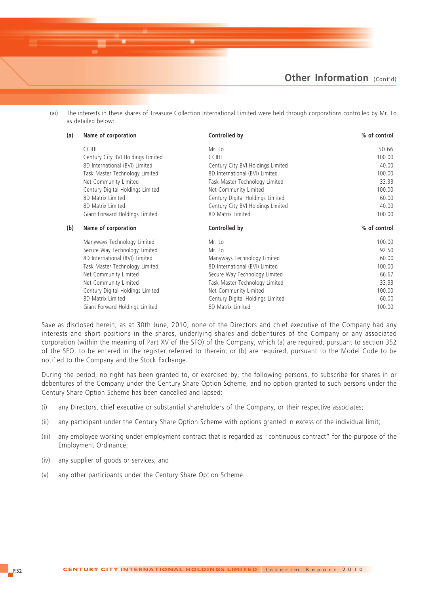(ai) The interests in these shares of Treasure Collection International Limited were held through corporations controlled by Mr. Lo as detailed below:

| (a) | Name of corporation               | Controlled by                     | % of control |
|-----|-----------------------------------|-----------------------------------|--------------|
|     | <b>CCIHL</b>                      | Mr. Lo                            | 50.66        |
|     | Century City BVI Holdings Limited | <b>CCIHL</b>                      | 100.00       |
|     | 8D International (BVI) Limited    | Century City BVI Holdings Limited | 40.00        |
|     | Task Master Technology Limited    | 8D International (BVI) Limited    | 100.00       |
|     | Net Community Limited             | Task Master Technology Limited    | 33.33        |
|     | Century Digital Holdings Limited  | Net Community Limited             | 100.00       |
|     | 8D Matrix Limited                 | Century Digital Holdings Limited  | 60.00        |
|     | 8D Matrix Limited                 | Century City BVI Holdings Limited | 40.00        |
|     | Giant Forward Holdings Limited    | 8D Matrix Limited                 | 100.00       |
|     |                                   |                                   |              |
| (b) | Name of corporation               | Controlled by                     | % of control |
|     | Manyways Technology Limited       | Mr. Lo                            | 100.00       |
|     | Secure Way Technology Limited     | Mr. Lo                            | 92.50        |
|     | 8D International (BVI) Limited    | Manyways Technology Limited       | 60.00        |
|     | Task Master Technology Limited    | 8D International (BVI) Limited    | 100.00       |
|     | Net Community Limited             | Secure Way Technology Limited     | 66.67        |
|     | Net Community Limited             | Task Master Technology Limited    | 33.33        |
|     | Century Digital Holdings Limited  | Net Community Limited             | 100.00       |
|     | 8D Matrix Limited                 | Century Digital Holdings Limited  | 60.00        |

Save as disclosed herein, as at 30th June, 2010, none of the Directors and chief executive of the Company had any interests and short positions in the shares, underlying shares and debentures of the Company or any associated corporation (within the meaning of Part XV of the SFO) of the Company, which (a) are required, pursuant to section 352 of the SFO, to be entered in the register referred to therein; or (b) are required, pursuant to the Model Code to be notified to the Company and the Stock Exchange.

During the period, no right has been granted to, or exercised by, the following persons, to subscribe for shares in or debentures of the Company under the Century Share Option Scheme, and no option granted to such persons under the Century Share Option Scheme has been cancelled and lapsed:

- (i) any Directors, chief executive or substantial shareholders of the Company, or their respective associates;
- (ii) any participant under the Century Share Option Scheme with options granted in excess of the individual limit;
- (iii) any employee working under employment contract that is regarded as "continuous contract" for the purpose of the Employment Ordinance;
- (iv) any supplier of goods or services; and
- (v) any other participants under the Century Share Option Scheme.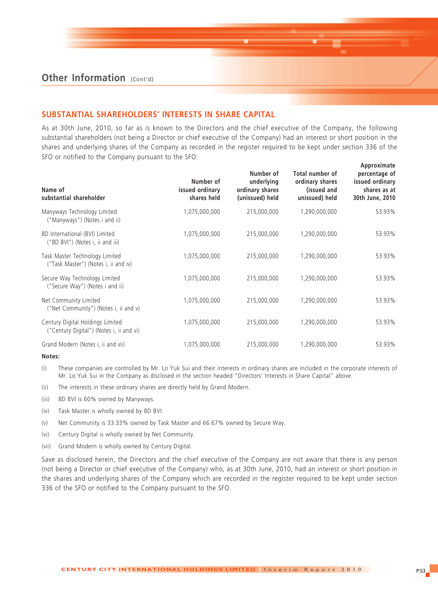#### **SUBSTANTIAL SHAREHOLDERS' INTERESTS IN SHARE CAPITAL**

As at 30th June, 2010, so far as is known to the Directors and the chief executive of the Company, the following substantial shareholders (not being a Director or chief executive of the Company) had an interest or short position in the shares and underlying shares of the Company as recorded in the register required to be kept under section 336 of the SFO or notified to the Company pursuant to the SFO:

| Name of<br>substantial shareholder                                           | Number of<br>issued ordinary<br>shares held | Number of<br>underlying<br>ordinary shares<br>(unissued) held | Total number of<br>ordinary shares<br>(issued and<br>unissued) held | percentage of<br>issued ordinary<br>shares as at<br>30th June, 2010 |
|------------------------------------------------------------------------------|---------------------------------------------|---------------------------------------------------------------|---------------------------------------------------------------------|---------------------------------------------------------------------|
| Manyways Technology Limited<br>("Manyways") (Notes i and ii)                 | 1,075,000,000                               | 215,000,000                                                   | 1,290,000,000                                                       | 53.93%                                                              |
| 8D International (BVI) Limited<br>("8D BVI") (Notes i, ii and iii)           | 1,075,000,000                               | 215,000,000                                                   | 1,290,000,000                                                       | 53.93%                                                              |
| Task Master Technology Limited<br>("Task Master") (Notes i, ii and iv)       | 1,075,000,000                               | 215,000,000                                                   | 1,290,000,000                                                       | 53.93%                                                              |
| Secure Way Technology Limited<br>("Secure Way") (Notes i and ii)             | 1,075,000,000                               | 215,000,000                                                   | 1,290,000,000                                                       | 53.93%                                                              |
| Net Community Limited<br>("Net Community") (Notes i, ii and v)               | 1,075,000,000                               | 215,000,000                                                   | 1,290,000,000                                                       | 53.93%                                                              |
| Century Digital Holdings Limited<br>("Century Digital") (Notes i, ii and vi) | 1,075,000,000                               | 215,000,000                                                   | 1,290,000,000                                                       | 53.93%                                                              |
| Grand Modern (Notes i, ii and vii)                                           | 1,075,000,000                               | 215,000,000                                                   | 1,290,000,000                                                       | 53.93%                                                              |

#### **Notes:**

- (i) These companies are controlled by Mr. Lo Yuk Sui and their interests in ordinary shares are included in the corporate interests of Mr. Lo Yuk Sui in the Company as disclosed in the section headed "Directors' Interests in Share Capital" above.
- (ii) The interests in these ordinary shares are directly held by Grand Modern.
- (iii) 8D BVI is 60% owned by Manyways.
- (iv) Task Master is wholly owned by 8D BVI.
- (v) Net Community is 33.33% owned by Task Master and 66.67% owned by Secure Way.
- (vi) Century Digital is wholly owned by Net Community.
- (vii) Grand Modern is wholly owned by Century Digital.

Save as disclosed herein, the Directors and the chief executive of the Company are not aware that there is any person (not being a Director or chief executive of the Company) who, as at 30th June, 2010, had an interest or short position in the shares and underlying shares of the Company which are recorded in the register required to be kept under section 336 of the SFO or notified to the Company pursuant to the SFO.

**Approximate**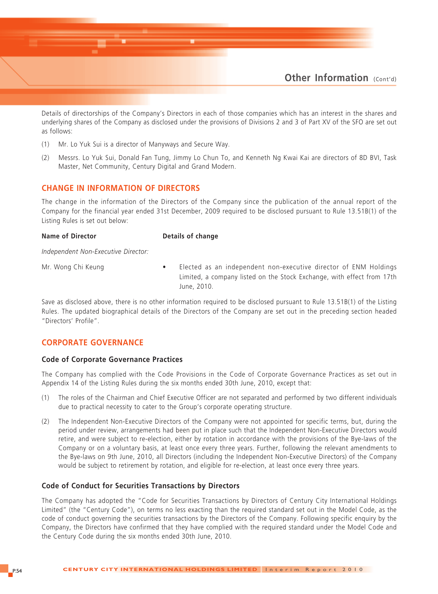

Details of directorships of the Company's Directors in each of those companies which has an interest in the shares and underlying shares of the Company as disclosed under the provisions of Divisions 2 and 3 of Part XV of the SFO are set out as follows:

- (1) Mr. Lo Yuk Sui is a director of Manyways and Secure Way.
- (2) Messrs. Lo Yuk Sui, Donald Fan Tung, Jimmy Lo Chun To, and Kenneth Ng Kwai Kai are directors of 8D BVI, Task Master, Net Community, Century Digital and Grand Modern.

#### **CHANGE IN INFORMATION OF DIRECTORS**

The change in the information of the Directors of the Company since the publication of the annual report of the Company for the financial year ended 31st December, 2009 required to be disclosed pursuant to Rule 13.51B(1) of the Listing Rules is set out below:

**Name of Director** Details of change

*Independent Non-Executive Director:*

Mr. Wong Chi Keung **•** Elected as an independent non-executive director of ENM Holdings Limited, a company listed on the Stock Exchange, with effect from 17th June, 2010.

Save as disclosed above, there is no other information required to be disclosed pursuant to Rule 13.51B(1) of the Listing Rules. The updated biographical details of the Directors of the Company are set out in the preceding section headed "Directors' Profile".

#### **CORPORATE GOVERNANCE**

#### **Code of Corporate Governance Practices**

The Company has complied with the Code Provisions in the Code of Corporate Governance Practices as set out in Appendix 14 of the Listing Rules during the six months ended 30th June, 2010, except that:

- (1) The roles of the Chairman and Chief Executive Officer are not separated and performed by two different individuals due to practical necessity to cater to the Group's corporate operating structure.
- (2) The Independent Non-Executive Directors of the Company were not appointed for specific terms, but, during the period under review, arrangements had been put in place such that the Independent Non-Executive Directors would retire, and were subject to re-election, either by rotation in accordance with the provisions of the Bye-laws of the Company or on a voluntary basis, at least once every three years. Further, following the relevant amendments to the Bye-laws on 9th June, 2010, all Directors (including the Independent Non-Executive Directors) of the Company would be subject to retirement by rotation, and eligible for re-election, at least once every three years.

#### **Code of Conduct for Securities Transactions by Directors**

The Company has adopted the "Code for Securities Transactions by Directors of Century City International Holdings Limited" (the "Century Code"), on terms no less exacting than the required standard set out in the Model Code, as the code of conduct governing the securities transactions by the Directors of the Company. Following specific enquiry by the Company, the Directors have confirmed that they have complied with the required standard under the Model Code and the Century Code during the six months ended 30th June, 2010.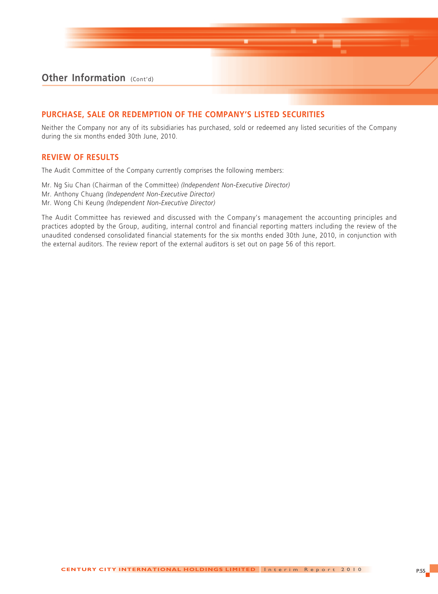### **PURCHASE, SALE OR REDEMPTION OF THE COMPANY'S LISTED SECURITIES**

Neither the Company nor any of its subsidiaries has purchased, sold or redeemed any listed securities of the Company during the six months ended 30th June, 2010.

#### **REVIEW OF RESULTS**

The Audit Committee of the Company currently comprises the following members:

Mr. Ng Siu Chan (Chairman of the Committee) *(Independent Non-Executive Director)* Mr. Anthony Chuang *(Independent Non-Executive Director)* Mr. Wong Chi Keung *(Independent Non-Executive Director)*

The Audit Committee has reviewed and discussed with the Company's management the accounting principles and practices adopted by the Group, auditing, internal control and financial reporting matters including the review of the unaudited condensed consolidated financial statements for the six months ended 30th June, 2010, in conjunction with the external auditors. The review report of the external auditors is set out on page 56 of this report.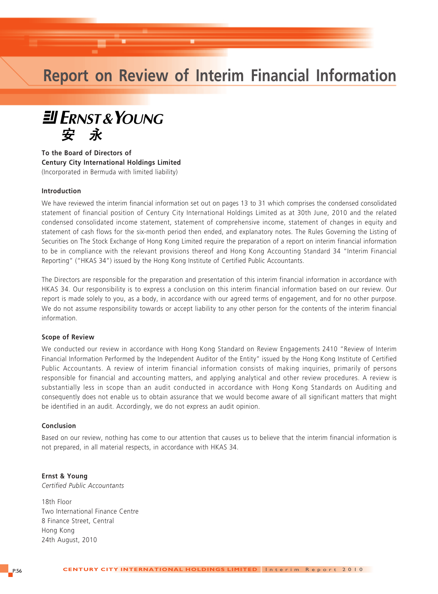## **Report on Review of Interim Financial Information**



**To the Board of Directors of Century City International Holdings Limited** (Incorporated in Bermuda with limited liability)

#### **Introduction**

We have reviewed the interim financial information set out on pages 13 to 31 which comprises the condensed consolidated statement of financial position of Century City International Holdings Limited as at 30th June, 2010 and the related condensed consolidated income statement, statement of comprehensive income, statement of changes in equity and statement of cash flows for the six-month period then ended, and explanatory notes. The Rules Governing the Listing of Securities on The Stock Exchange of Hong Kong Limited require the preparation of a report on interim financial information to be in compliance with the relevant provisions thereof and Hong Kong Accounting Standard 34 "Interim Financial Reporting" ("HKAS 34") issued by the Hong Kong Institute of Certified Public Accountants.

The Directors are responsible for the preparation and presentation of this interim financial information in accordance with HKAS 34. Our responsibility is to express a conclusion on this interim financial information based on our review. Our report is made solely to you, as a body, in accordance with our agreed terms of engagement, and for no other purpose. We do not assume responsibility towards or accept liability to any other person for the contents of the interim financial information.

#### **Scope of Review**

We conducted our review in accordance with Hong Kong Standard on Review Engagements 2410 "Review of Interim Financial Information Performed by the Independent Auditor of the Entity" issued by the Hong Kong Institute of Certified Public Accountants. A review of interim financial information consists of making inquiries, primarily of persons responsible for financial and accounting matters, and applying analytical and other review procedures. A review is substantially less in scope than an audit conducted in accordance with Hong Kong Standards on Auditing and consequently does not enable us to obtain assurance that we would become aware of all significant matters that might be identified in an audit. Accordingly, we do not express an audit opinion.

#### **Conclusion**

Based on our review, nothing has come to our attention that causes us to believe that the interim financial information is not prepared, in all material respects, in accordance with HKAS 34.

**Ernst & Young** *Certified Public Accountants*

18th Floor Two International Finance Centre 8 Finance Street, Central Hong Kong 24th August, 2010